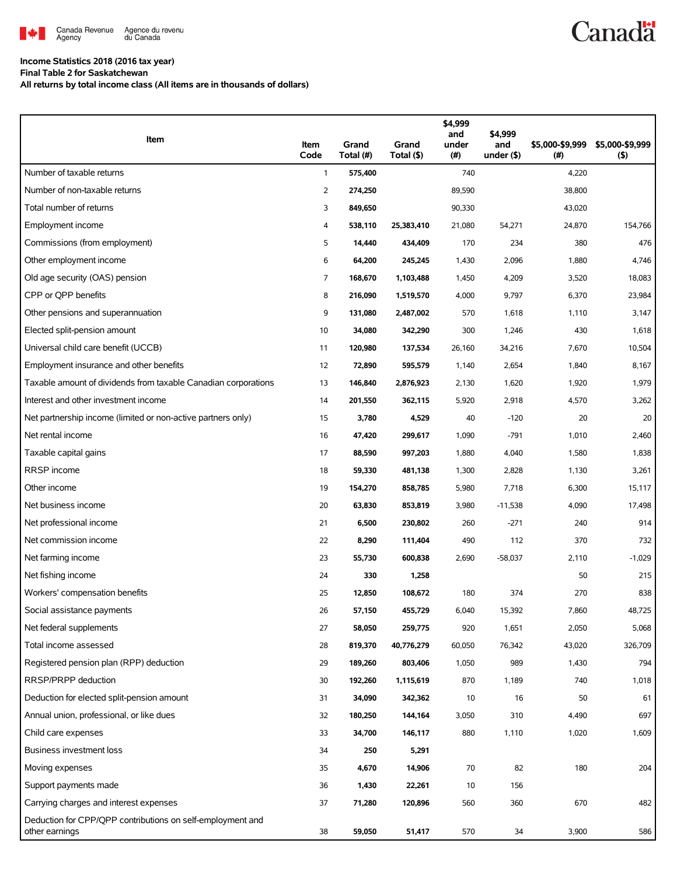

## **Income Statistics 2018 (2016 tax year)**

**Final Table 2 for Saskatchewan**

**All returns by total income class (All items are in thousands of dollars)**

| Item                                                                         | Item<br>Code   | Grand<br>Total (#) | Grand<br>Total (\$) | \$4,999<br>and<br>under<br>(# ) | \$4,999<br>and<br>under $($ \$) | \$5,000-\$9,999<br>(#) | \$5,000-\$9,999<br>$($ \$) |
|------------------------------------------------------------------------------|----------------|--------------------|---------------------|---------------------------------|---------------------------------|------------------------|----------------------------|
| Number of taxable returns                                                    | $\mathbf{1}$   | 575,400            |                     | 740                             |                                 | 4,220                  |                            |
| Number of non-taxable returns                                                | $\overline{2}$ | 274,250            |                     | 89,590                          |                                 | 38,800                 |                            |
| Total number of returns                                                      | 3              | 849,650            |                     | 90,330                          |                                 | 43,020                 |                            |
| Employment income                                                            | 4              | 538,110            | 25,383,410          | 21,080                          | 54,271                          | 24,870                 | 154,766                    |
| Commissions (from employment)                                                | 5              | 14,440             | 434,409             | 170                             | 234                             | 380                    | 476                        |
| Other employment income                                                      | 6              | 64,200             | 245,245             | 1,430                           | 2,096                           | 1,880                  | 4,746                      |
| Old age security (OAS) pension                                               | 7              | 168,670            | 1,103,488           | 1,450                           | 4,209                           | 3,520                  | 18,083                     |
| CPP or OPP benefits                                                          | 8              | 216,090            | 1,519,570           | 4,000                           | 9,797                           | 6,370                  | 23,984                     |
| Other pensions and superannuation                                            | 9              | 131,080            | 2,487,002           | 570                             | 1,618                           | 1,110                  | 3,147                      |
| Elected split-pension amount                                                 | 10             | 34,080             | 342,290             | 300                             | 1,246                           | 430                    | 1,618                      |
| Universal child care benefit (UCCB)                                          | 11             | 120,980            | 137,534             | 26,160                          | 34,216                          | 7,670                  | 10,504                     |
| Employment insurance and other benefits                                      | 12             | 72,890             | 595,579             | 1,140                           | 2,654                           | 1,840                  | 8,167                      |
| Taxable amount of dividends from taxable Canadian corporations               | 13             | 146,840            | 2,876,923           | 2,130                           | 1,620                           | 1,920                  | 1,979                      |
| Interest and other investment income                                         | 14             | 201,550            | 362,115             | 5,920                           | 2,918                           | 4,570                  | 3,262                      |
| Net partnership income (limited or non-active partners only)                 | 15             | 3,780              | 4,529               | 40                              | $-120$                          | 20                     | 20                         |
| Net rental income                                                            | 16             | 47,420             | 299,617             | 1,090                           | $-791$                          | 1,010                  | 2,460                      |
| Taxable capital gains                                                        | 17             | 88,590             | 997,203             | 1,880                           | 4,040                           | 1,580                  | 1,838                      |
| RRSP income                                                                  | 18             | 59,330             | 481,138             | 1,300                           | 2,828                           | 1,130                  | 3,261                      |
| Other income                                                                 | 19             | 154,270            | 858,785             | 5,980                           | 7,718                           | 6,300                  | 15,117                     |
| Net business income                                                          | 20             | 63,830             | 853,819             | 3,980                           | $-11,538$                       | 4,090                  | 17,498                     |
| Net professional income                                                      | 21             | 6,500              | 230,802             | 260                             | $-271$                          | 240                    | 914                        |
| Net commission income                                                        | 22             | 8,290              | 111,404             | 490                             | 112                             | 370                    | 732                        |
| Net farming income                                                           | 23             | 55,730             | 600,838             | 2,690                           | $-58,037$                       | 2,110                  | $-1,029$                   |
| Net fishing income                                                           | 24             | 330                | 1,258               |                                 |                                 | 50                     | 215                        |
| Workers' compensation benefits                                               | 25             | 12,850             | 108,672             | 180                             | 374                             | 270                    | 838                        |
| Social assistance payments                                                   | 26             | 57,150             | 455,729             | 6,040                           | 15,392                          | 7,860                  | 48,725                     |
| Net federal supplements                                                      | 27             | 58,050             | 259,775             | 920                             | 1,651                           | 2,050                  | 5,068                      |
| Total income assessed                                                        | 28             | 819,370            | 40,776,279          | 60,050                          | 76,342                          | 43,020                 | 326,709                    |
| Registered pension plan (RPP) deduction                                      | 29             | 189,260            | 803,406             | 1,050                           | 989                             | 1,430                  | 794                        |
| RRSP/PRPP deduction                                                          | 30             | 192,260            | 1,115,619           | 870                             | 1,189                           | 740                    | 1,018                      |
| Deduction for elected split-pension amount                                   | 31             | 34,090             | 342,362             | 10                              | 16                              | 50                     | 61                         |
| Annual union, professional, or like dues                                     | 32             | 180,250            | 144,164             | 3,050                           | 310                             | 4,490                  | 697                        |
| Child care expenses                                                          | 33             | 34,700             | 146,117             | 880                             | 1,110                           | 1,020                  | 1,609                      |
| Business investment loss                                                     | 34             | 250                | 5,291               |                                 |                                 |                        |                            |
| Moving expenses                                                              | 35             | 4,670              | 14,906              | 70                              | 82                              | 180                    | 204                        |
| Support payments made                                                        | 36             | 1,430              | 22,261              | 10                              | 156                             |                        |                            |
| Carrying charges and interest expenses                                       | 37             | 71,280             | 120,896             | 560                             | 360                             | 670                    | 482                        |
| Deduction for CPP/QPP contributions on self-employment and<br>other earnings | 38             | 59,050             | 51,417              | 570                             | 34                              | 3,900                  | 586                        |

**Canadä**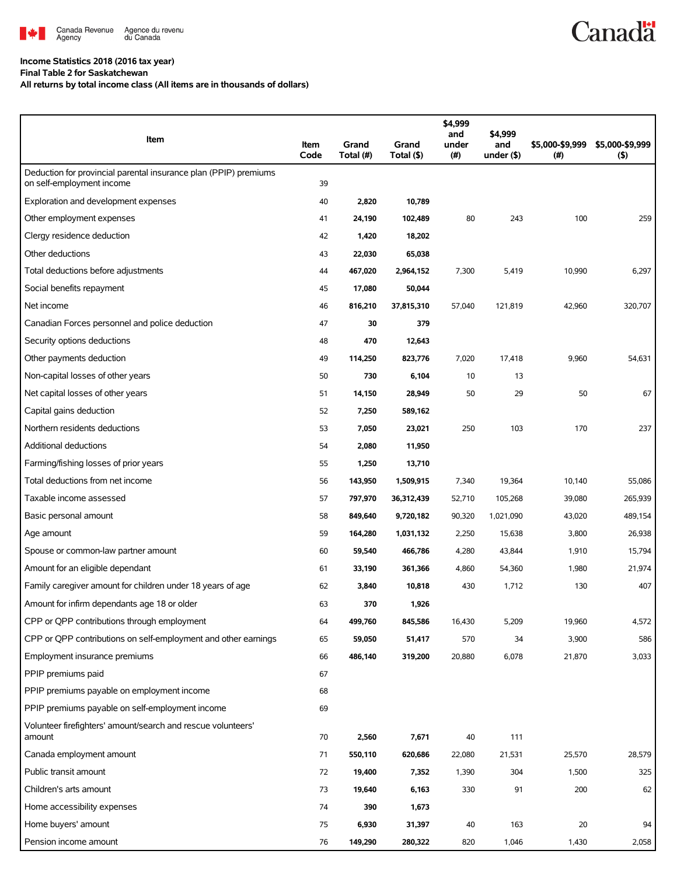

## **Income Statistics 2018 (2016 tax year)**

**Final Table 2 for Saskatchewan**

**All returns by total income class (All items are in thousands of dollars)**

| Item                                                                                          | Item<br>Code | Grand<br>Total (#) | Grand<br>Total (\$) | \$4,999<br>and<br>under<br>(#) | \$4,999<br>and<br>under $($ \$) | \$5,000-\$9,999<br>(# ) | \$5,000-\$9,999<br>(5) |
|-----------------------------------------------------------------------------------------------|--------------|--------------------|---------------------|--------------------------------|---------------------------------|-------------------------|------------------------|
| Deduction for provincial parental insurance plan (PPIP) premiums<br>on self-employment income | 39           |                    |                     |                                |                                 |                         |                        |
| Exploration and development expenses                                                          | 40           | 2,820              | 10,789              |                                |                                 |                         |                        |
| Other employment expenses                                                                     | 41           | 24,190             | 102,489             | 80                             | 243                             | 100                     | 259                    |
| Clergy residence deduction                                                                    | 42           | 1,420              | 18,202              |                                |                                 |                         |                        |
| Other deductions                                                                              | 43           | 22,030             | 65,038              |                                |                                 |                         |                        |
| Total deductions before adjustments                                                           | 44           | 467,020            | 2,964,152           | 7,300                          | 5,419                           | 10,990                  | 6,297                  |
| Social benefits repayment                                                                     | 45           | 17,080             | 50,044              |                                |                                 |                         |                        |
| Net income                                                                                    | 46           | 816,210            | 37,815,310          | 57,040                         | 121,819                         | 42,960                  | 320,707                |
| Canadian Forces personnel and police deduction                                                | 47           | 30                 | 379                 |                                |                                 |                         |                        |
| Security options deductions                                                                   | 48           | 470                | 12,643              |                                |                                 |                         |                        |
| Other payments deduction                                                                      | 49           | 114,250            | 823,776             | 7,020                          | 17,418                          | 9,960                   | 54,631                 |
| Non-capital losses of other years                                                             | 50           | 730                | 6,104               | 10                             | 13                              |                         |                        |
| Net capital losses of other years                                                             | 51           | 14,150             | 28,949              | 50                             | 29                              | 50                      | 67                     |
| Capital gains deduction                                                                       | 52           | 7,250              | 589,162             |                                |                                 |                         |                        |
| Northern residents deductions                                                                 | 53           | 7,050              | 23,021              | 250                            | 103                             | 170                     | 237                    |
| Additional deductions                                                                         | 54           | 2,080              | 11,950              |                                |                                 |                         |                        |
| Farming/fishing losses of prior years                                                         | 55           | 1,250              | 13,710              |                                |                                 |                         |                        |
| Total deductions from net income                                                              | 56           | 143,950            | 1,509,915           | 7,340                          | 19,364                          | 10,140                  | 55,086                 |
| Taxable income assessed                                                                       | 57           | 797,970            | 36,312,439          | 52,710                         | 105,268                         | 39,080                  | 265,939                |
| Basic personal amount                                                                         | 58           | 849,640            | 9,720,182           | 90,320                         | 1,021,090                       | 43,020                  | 489,154                |
| Age amount                                                                                    | 59           | 164,280            | 1,031,132           | 2,250                          | 15,638                          | 3,800                   | 26,938                 |
| Spouse or common-law partner amount                                                           | 60           | 59,540             | 466,786             | 4,280                          | 43,844                          | 1,910                   | 15,794                 |
| Amount for an eligible dependant                                                              | 61           | 33,190             | 361,366             | 4,860                          | 54,360                          | 1,980                   | 21,974                 |
| Family caregiver amount for children under 18 years of age                                    | 62           | 3,840              | 10,818              | 430                            | 1,712                           | 130                     | 407                    |
| Amount for infirm dependants age 18 or older                                                  | 63           | 370                | 1,926               |                                |                                 |                         |                        |
| CPP or QPP contributions through employment                                                   | 64           | 499,760            | 845,586             | 16,430                         | 5,209                           | 19,960                  | 4,572                  |
| CPP or QPP contributions on self-employment and other earnings                                | 65           | 59,050             | 51,417              | 570                            | 34                              | 3,900                   | 586                    |
| Employment insurance premiums                                                                 | 66           | 486,140            | 319,200             | 20,880                         | 6,078                           | 21,870                  | 3,033                  |
| PPIP premiums paid                                                                            | 67           |                    |                     |                                |                                 |                         |                        |
| PPIP premiums payable on employment income                                                    | 68           |                    |                     |                                |                                 |                         |                        |
| PPIP premiums payable on self-employment income                                               | 69           |                    |                     |                                |                                 |                         |                        |
| Volunteer firefighters' amount/search and rescue volunteers'<br>amount                        | 70           | 2,560              | 7,671               | 40                             | 111                             |                         |                        |
| Canada employment amount                                                                      | 71           | 550,110            | 620,686             | 22,080                         | 21,531                          | 25,570                  | 28,579                 |
| Public transit amount                                                                         | 72           | 19,400             | 7,352               | 1,390                          | 304                             | 1,500                   | 325                    |
| Children's arts amount                                                                        | 73           | 19,640             | 6,163               | 330                            | 91                              | 200                     | 62                     |
| Home accessibility expenses                                                                   | 74           | 390                | 1,673               |                                |                                 |                         |                        |
| Home buyers' amount                                                                           | 75           | 6,930              | 31,397              | 40                             | 163                             | 20                      | 94                     |
| Pension income amount                                                                         | 76           | 149,290            | 280,322             | 820                            | 1,046                           | 1,430                   | 2,058                  |

**Canadä**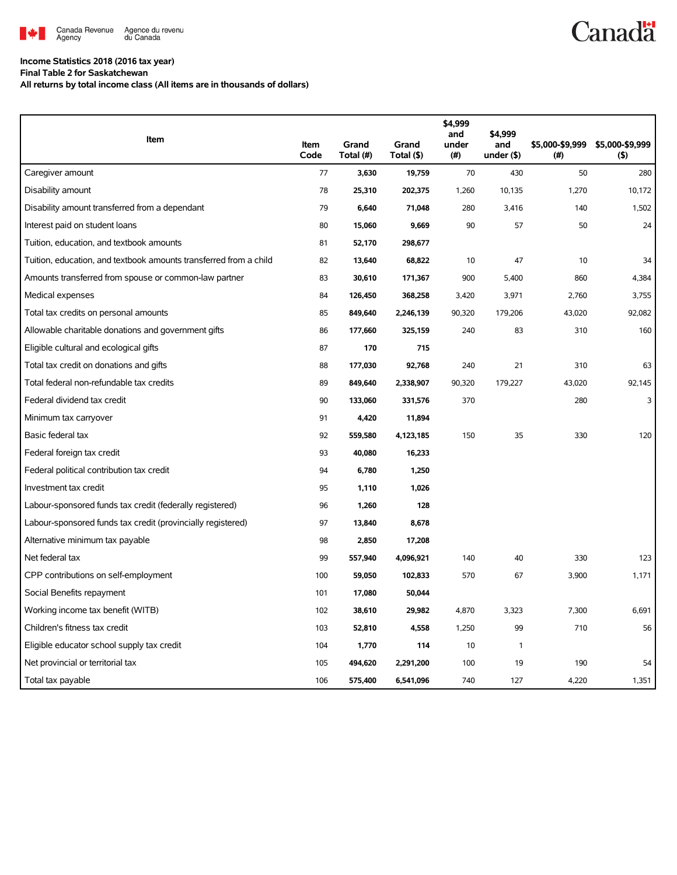

## **Income Statistics 2018 (2016 tax year)**

**Final Table 2 for Saskatchewan**

**All returns by total income class (All items are in thousands of dollars)**

| Item                                                              | Item | Grand     | Grand      | \$4,999<br>and<br>under | \$4,999<br>and | \$5,000-\$9,999 | \$5,000-\$9,999 |
|-------------------------------------------------------------------|------|-----------|------------|-------------------------|----------------|-----------------|-----------------|
|                                                                   | Code | Total (#) | Total (\$) | (#)                     | under $($ \$)  | (# )            | (5)             |
| Caregiver amount                                                  | 77   | 3,630     | 19,759     | 70                      | 430            | 50              | 280             |
| Disability amount                                                 | 78   | 25,310    | 202,375    | 1,260                   | 10,135         | 1,270           | 10,172          |
| Disability amount transferred from a dependant                    | 79   | 6,640     | 71,048     | 280                     | 3,416          | 140             | 1,502           |
| Interest paid on student loans                                    | 80   | 15,060    | 9,669      | 90                      | 57             | 50              | 24              |
| Tuition, education, and textbook amounts                          | 81   | 52,170    | 298,677    |                         |                |                 |                 |
| Tuition, education, and textbook amounts transferred from a child | 82   | 13,640    | 68,822     | 10                      | 47             | 10              | 34              |
| Amounts transferred from spouse or common-law partner             | 83   | 30,610    | 171,367    | 900                     | 5,400          | 860             | 4,384           |
| Medical expenses                                                  | 84   | 126,450   | 368,258    | 3,420                   | 3,971          | 2,760           | 3,755           |
| Total tax credits on personal amounts                             | 85   | 849,640   | 2,246,139  | 90,320                  | 179,206        | 43,020          | 92,082          |
| Allowable charitable donations and government gifts               | 86   | 177,660   | 325,159    | 240                     | 83             | 310             | 160             |
| Eligible cultural and ecological gifts                            | 87   | 170       | 715        |                         |                |                 |                 |
| Total tax credit on donations and gifts                           | 88   | 177,030   | 92,768     | 240                     | 21             | 310             | 63              |
| Total federal non-refundable tax credits                          | 89   | 849,640   | 2,338,907  | 90,320                  | 179,227        | 43,020          | 92,145          |
| Federal dividend tax credit                                       | 90   | 133,060   | 331,576    | 370                     |                | 280             | 3               |
| Minimum tax carryover                                             | 91   | 4,420     | 11,894     |                         |                |                 |                 |
| Basic federal tax                                                 | 92   | 559,580   | 4,123,185  | 150                     | 35             | 330             | 120             |
| Federal foreign tax credit                                        | 93   | 40,080    | 16,233     |                         |                |                 |                 |
| Federal political contribution tax credit                         | 94   | 6,780     | 1,250      |                         |                |                 |                 |
| Investment tax credit                                             | 95   | 1,110     | 1,026      |                         |                |                 |                 |
| Labour-sponsored funds tax credit (federally registered)          | 96   | 1,260     | 128        |                         |                |                 |                 |
| Labour-sponsored funds tax credit (provincially registered)       | 97   | 13,840    | 8,678      |                         |                |                 |                 |
| Alternative minimum tax payable                                   | 98   | 2,850     | 17,208     |                         |                |                 |                 |
| Net federal tax                                                   | 99   | 557,940   | 4,096,921  | 140                     | 40             | 330             | 123             |
| CPP contributions on self-employment                              | 100  | 59,050    | 102,833    | 570                     | 67             | 3,900           | 1,171           |
| Social Benefits repayment                                         | 101  | 17,080    | 50,044     |                         |                |                 |                 |
| Working income tax benefit (WITB)                                 | 102  | 38,610    | 29,982     | 4,870                   | 3,323          | 7,300           | 6,691           |
| Children's fitness tax credit                                     | 103  | 52,810    | 4,558      | 1,250                   | 99             | 710             | 56              |
| Eligible educator school supply tax credit                        | 104  | 1,770     | 114        | 10                      | $\mathbf{1}$   |                 |                 |
| Net provincial or territorial tax                                 | 105  | 494,620   | 2,291,200  | 100                     | 19             | 190             | 54              |
| Total tax payable                                                 | 106  | 575,400   | 6,541,096  | 740                     | 127            | 4,220           | 1,351           |

**Canadä**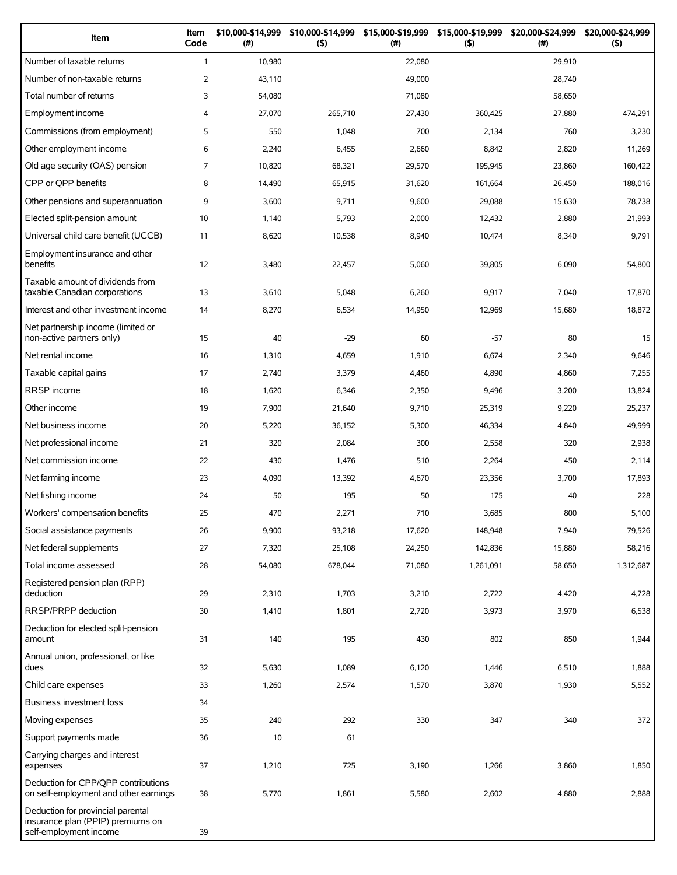| Item                                                                                             | Item<br>Code   | \$10,000-\$14,999<br>(#) | \$10,000-\$14,999<br>(5) | \$15,000-\$19,999 \$15,000-\$19,999<br>(#) | (5)       | \$20,000-\$24,999<br>(#) | \$20,000-\$24,999<br>(5) |
|--------------------------------------------------------------------------------------------------|----------------|--------------------------|--------------------------|--------------------------------------------|-----------|--------------------------|--------------------------|
| Number of taxable returns                                                                        | $\mathbf{1}$   | 10,980                   |                          | 22,080                                     |           | 29,910                   |                          |
| Number of non-taxable returns                                                                    | 2              | 43,110                   |                          | 49,000                                     |           | 28,740                   |                          |
| Total number of returns                                                                          | 3              | 54,080                   |                          | 71,080                                     |           | 58,650                   |                          |
| Employment income                                                                                | 4              | 27,070                   | 265,710                  | 27,430                                     | 360,425   | 27,880                   | 474,291                  |
| Commissions (from employment)                                                                    | 5              | 550                      | 1,048                    | 700                                        | 2,134     | 760                      | 3,230                    |
| Other employment income                                                                          | 6              | 2,240                    | 6,455                    | 2,660                                      | 8,842     | 2,820                    | 11,269                   |
| Old age security (OAS) pension                                                                   | $\overline{7}$ | 10,820                   | 68,321                   | 29,570                                     | 195,945   | 23,860                   | 160,422                  |
| CPP or QPP benefits                                                                              | 8              | 14,490                   | 65,915                   | 31,620                                     | 161,664   | 26,450                   | 188,016                  |
| Other pensions and superannuation                                                                | 9              | 3,600                    | 9,711                    | 9,600                                      | 29,088    | 15,630                   | 78,738                   |
| Elected split-pension amount                                                                     | 10             | 1,140                    | 5,793                    | 2,000                                      | 12,432    | 2,880                    | 21,993                   |
| Universal child care benefit (UCCB)                                                              | 11             | 8,620                    | 10,538                   | 8,940                                      | 10,474    | 8,340                    | 9,791                    |
| Employment insurance and other<br>benefits                                                       | 12             | 3,480                    | 22,457                   | 5,060                                      | 39,805    | 6,090                    | 54,800                   |
| Taxable amount of dividends from<br>taxable Canadian corporations                                | 13             | 3,610                    | 5,048                    | 6,260                                      | 9,917     | 7,040                    | 17,870                   |
| Interest and other investment income                                                             | 14             | 8,270                    | 6,534                    | 14,950                                     | 12,969    | 15,680                   | 18,872                   |
| Net partnership income (limited or<br>non-active partners only)                                  | 15             | 40                       | $-29$                    | 60                                         | $-57$     | 80                       | 15                       |
| Net rental income                                                                                | 16             | 1,310                    | 4,659                    | 1,910                                      | 6,674     | 2,340                    | 9,646                    |
| Taxable capital gains                                                                            | 17             | 2,740                    | 3,379                    | 4,460                                      | 4,890     | 4,860                    | 7,255                    |
| <b>RRSP</b> income                                                                               | 18             | 1,620                    | 6,346                    | 2,350                                      | 9,496     | 3,200                    | 13,824                   |
| Other income                                                                                     | 19             | 7,900                    | 21,640                   | 9,710                                      | 25,319    | 9,220                    | 25,237                   |
| Net business income                                                                              | 20             | 5,220                    | 36,152                   | 5,300                                      | 46,334    | 4,840                    | 49,999                   |
| Net professional income                                                                          | 21             | 320                      | 2,084                    | 300                                        | 2,558     | 320                      | 2,938                    |
| Net commission income                                                                            | 22             | 430                      | 1,476                    | 510                                        | 2,264     | 450                      | 2,114                    |
| Net farming income                                                                               | 23             | 4,090                    | 13,392                   | 4,670                                      | 23,356    | 3,700                    | 17,893                   |
| Net fishing income                                                                               | 24             | 50                       | 195                      | 50                                         | 175       | 40                       | 228                      |
| Workers' compensation benefits                                                                   | 25             | 470                      | 2,271                    | 710                                        | 3,685     | 800                      | 5,100                    |
| Social assistance payments                                                                       | 26             | 9,900                    | 93,218                   | 17,620                                     | 148,948   | 7,940                    | 79,526                   |
| Net federal supplements                                                                          | 27             | 7,320                    | 25,108                   | 24,250                                     | 142,836   | 15,880                   | 58,216                   |
| Total income assessed                                                                            | 28             | 54,080                   | 678,044                  | 71,080                                     | 1,261,091 | 58,650                   | 1,312,687                |
| Registered pension plan (RPP)<br>deduction                                                       | 29             | 2,310                    | 1,703                    | 3,210                                      | 2,722     | 4,420                    | 4,728                    |
| RRSP/PRPP deduction                                                                              | 30             | 1,410                    | 1,801                    | 2,720                                      | 3,973     | 3,970                    | 6,538                    |
| Deduction for elected split-pension<br>amount                                                    | 31             | 140                      | 195                      | 430                                        | 802       | 850                      | 1,944                    |
| Annual union, professional, or like<br>dues                                                      | 32             | 5,630                    | 1,089                    | 6,120                                      | 1,446     | 6,510                    | 1,888                    |
| Child care expenses                                                                              | 33             | 1,260                    | 2,574                    | 1,570                                      | 3,870     | 1,930                    | 5,552                    |
| Business investment loss                                                                         | 34             |                          |                          |                                            |           |                          |                          |
| Moving expenses                                                                                  | 35             | 240                      | 292                      | 330                                        | 347       | 340                      | 372                      |
| Support payments made                                                                            | 36             | 10                       | 61                       |                                            |           |                          |                          |
| Carrying charges and interest<br>expenses                                                        | 37             | 1,210                    | 725                      | 3,190                                      | 1,266     | 3,860                    | 1,850                    |
| Deduction for CPP/QPP contributions<br>on self-employment and other earnings                     | 38             | 5,770                    | 1,861                    | 5,580                                      | 2,602     | 4,880                    | 2,888                    |
| Deduction for provincial parental<br>insurance plan (PPIP) premiums on<br>self-employment income | 39             |                          |                          |                                            |           |                          |                          |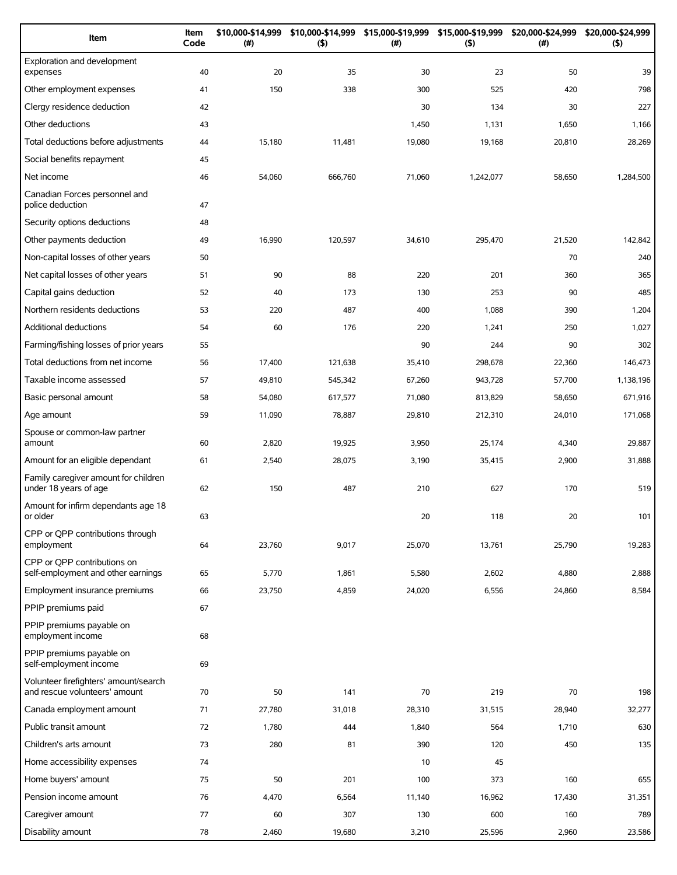| Item                                                                   | Item<br>Code | \$10,000-\$14,999<br>(# ) | \$10,000-\$14,999<br>(5) | \$15,000-\$19,999<br>(#) | \$15,000-\$19,999<br>(5) | \$20,000-\$24,999<br>$(\#)$ | \$20,000-\$24,999<br>(5) |
|------------------------------------------------------------------------|--------------|---------------------------|--------------------------|--------------------------|--------------------------|-----------------------------|--------------------------|
| Exploration and development<br>expenses                                | 40           | 20                        | 35                       | 30                       | 23                       | 50                          | 39                       |
| Other employment expenses                                              | 41           | 150                       | 338                      | 300                      | 525                      | 420                         | 798                      |
| Clergy residence deduction                                             | 42           |                           |                          | 30                       | 134                      | 30                          | 227                      |
| Other deductions                                                       | 43           |                           |                          | 1,450                    | 1,131                    | 1,650                       | 1,166                    |
| Total deductions before adjustments                                    | 44           | 15,180                    | 11,481                   | 19,080                   | 19,168                   | 20,810                      | 28,269                   |
| Social benefits repayment                                              | 45           |                           |                          |                          |                          |                             |                          |
| Net income                                                             | 46           | 54,060                    | 666,760                  | 71,060                   | 1,242,077                | 58,650                      | 1,284,500                |
| Canadian Forces personnel and<br>police deduction                      | 47           |                           |                          |                          |                          |                             |                          |
| Security options deductions                                            | 48           |                           |                          |                          |                          |                             |                          |
| Other payments deduction                                               | 49           | 16,990                    | 120,597                  | 34,610                   | 295,470                  | 21,520                      | 142,842                  |
| Non-capital losses of other years                                      | 50           |                           |                          |                          |                          | 70                          | 240                      |
| Net capital losses of other years                                      | 51           | 90                        | 88                       | 220                      | 201                      | 360                         | 365                      |
| Capital gains deduction                                                | 52           | 40                        | 173                      | 130                      | 253                      | 90                          | 485                      |
| Northern residents deductions                                          | 53           | 220                       | 487                      | 400                      | 1,088                    | 390                         | 1,204                    |
| Additional deductions                                                  | 54           | 60                        | 176                      | 220                      | 1,241                    | 250                         | 1,027                    |
| Farming/fishing losses of prior years                                  | 55           |                           |                          | 90                       | 244                      | 90                          | 302                      |
| Total deductions from net income                                       | 56           | 17,400                    | 121,638                  | 35,410                   | 298,678                  | 22,360                      | 146,473                  |
| Taxable income assessed                                                | 57           | 49,810                    | 545,342                  | 67,260                   | 943,728                  | 57,700                      | 1,138,196                |
| Basic personal amount                                                  | 58           | 54,080                    | 617,577                  | 71,080                   | 813,829                  | 58,650                      | 671,916                  |
| Age amount                                                             | 59           | 11,090                    | 78,887                   | 29,810                   | 212,310                  | 24,010                      | 171,068                  |
| Spouse or common-law partner<br>amount                                 | 60           | 2,820                     | 19,925                   | 3,950                    | 25,174                   | 4,340                       | 29,887                   |
| Amount for an eligible dependant                                       | 61           | 2,540                     | 28,075                   | 3,190                    | 35,415                   | 2,900                       | 31,888                   |
| Family caregiver amount for children<br>under 18 years of age          | 62           | 150                       | 487                      | 210                      | 627                      | 170                         | 519                      |
| Amount for infirm dependants age 18<br>or older                        | 63           |                           |                          | 20                       | 118                      | 20                          | 101                      |
| CPP or QPP contributions through<br>employment                         | 64           | 23,760                    | 9,017                    | 25,070                   | 13,761                   | 25,790                      | 19,283                   |
| CPP or OPP contributions on<br>self-employment and other earnings      | 65           | 5,770                     | 1,861                    | 5,580                    | 2,602                    | 4,880                       | 2,888                    |
| Employment insurance premiums                                          | 66           | 23,750                    | 4,859                    | 24,020                   | 6,556                    | 24,860                      | 8,584                    |
| PPIP premiums paid                                                     | 67           |                           |                          |                          |                          |                             |                          |
| PPIP premiums payable on<br>employment income                          | 68           |                           |                          |                          |                          |                             |                          |
| PPIP premiums payable on<br>self-employment income                     | 69           |                           |                          |                          |                          |                             |                          |
| Volunteer firefighters' amount/search<br>and rescue volunteers' amount | 70           | 50                        | 141                      | 70                       | 219                      | 70                          | 198                      |
| Canada employment amount                                               | 71           | 27,780                    | 31,018                   | 28,310                   | 31,515                   | 28,940                      | 32,277                   |
| Public transit amount                                                  | 72           | 1,780                     | 444                      | 1,840                    | 564                      | 1,710                       | 630                      |
| Children's arts amount                                                 | 73           | 280                       | 81                       | 390                      | 120                      | 450                         | 135                      |
| Home accessibility expenses                                            | 74           |                           |                          | 10                       | 45                       |                             |                          |
| Home buyers' amount                                                    | 75           | 50                        | 201                      | 100                      | 373                      | 160                         | 655                      |
| Pension income amount                                                  | 76           | 4,470                     | 6,564                    | 11,140                   | 16,962                   | 17,430                      | 31,351                   |
| Caregiver amount                                                       | 77           | 60                        | 307                      | 130                      | 600                      | 160                         | 789                      |
| Disability amount                                                      | 78           | 2,460                     | 19,680                   | 3,210                    | 25,596                   | 2,960                       | 23,586                   |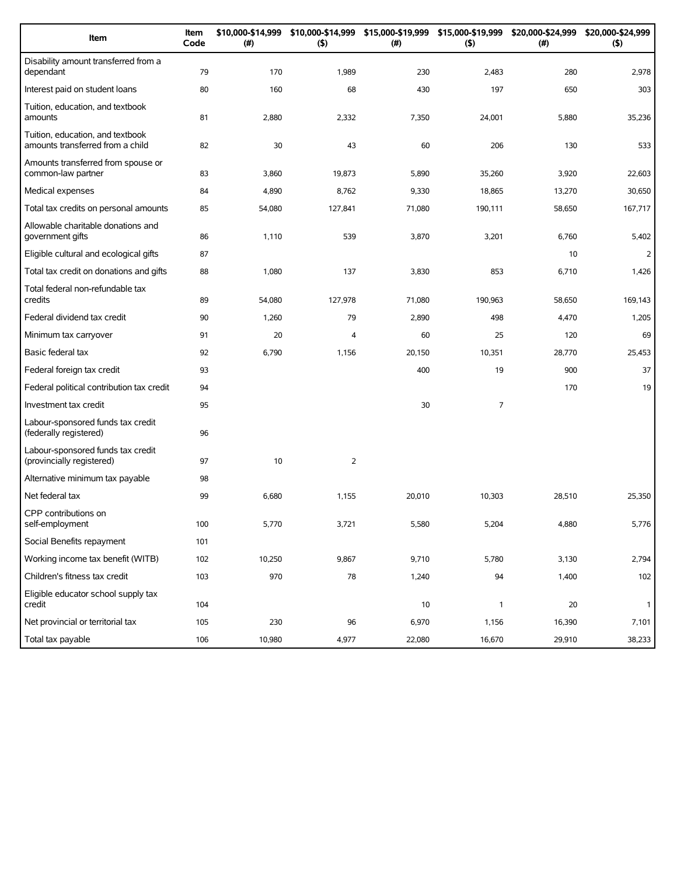| Item                                                                 | Item<br>Code | \$10,000-\$14,999<br>(#) | \$10,000-\$14,999<br>(5) | \$15,000-\$19,999<br>(#) | \$15,000-\$19,999<br>(5) | \$20,000-\$24,999<br>(#) | \$20,000-\$24,999<br>(5) |
|----------------------------------------------------------------------|--------------|--------------------------|--------------------------|--------------------------|--------------------------|--------------------------|--------------------------|
| Disability amount transferred from a<br>dependant                    | 79           | 170                      | 1,989                    | 230                      | 2,483                    | 280                      | 2,978                    |
| Interest paid on student loans                                       | 80           | 160                      | 68                       | 430                      | 197                      | 650                      | 303                      |
| Tuition, education, and textbook<br>amounts                          | 81           | 2,880                    | 2,332                    | 7,350                    | 24,001                   | 5,880                    | 35,236                   |
| Tuition, education, and textbook<br>amounts transferred from a child | 82           | 30                       | 43                       | 60                       | 206                      | 130                      | 533                      |
| Amounts transferred from spouse or<br>common-law partner             | 83           | 3,860                    | 19,873                   | 5,890                    | 35,260                   | 3,920                    | 22,603                   |
| Medical expenses                                                     | 84           | 4,890                    | 8,762                    | 9,330                    | 18,865                   | 13,270                   | 30,650                   |
| Total tax credits on personal amounts                                | 85           | 54,080                   | 127,841                  | 71,080                   | 190,111                  | 58,650                   | 167,717                  |
| Allowable charitable donations and<br>government gifts               | 86           | 1,110                    | 539                      | 3,870                    | 3,201                    | 6,760                    | 5,402                    |
| Eligible cultural and ecological gifts                               | 87           |                          |                          |                          |                          | 10                       | $\overline{2}$           |
| Total tax credit on donations and gifts                              | 88           | 1,080                    | 137                      | 3,830                    | 853                      | 6,710                    | 1,426                    |
| Total federal non-refundable tax<br>credits                          | 89           | 54,080                   | 127,978                  | 71,080                   | 190,963                  | 58,650                   | 169,143                  |
| Federal dividend tax credit                                          | 90           | 1,260                    | 79                       | 2,890                    | 498                      | 4,470                    | 1,205                    |
| Minimum tax carryover                                                | 91           | 20                       | 4                        | 60                       | 25                       | 120                      | 69                       |
| Basic federal tax                                                    | 92           | 6,790                    | 1,156                    | 20,150                   | 10,351                   | 28,770                   | 25,453                   |
| Federal foreign tax credit                                           | 93           |                          |                          | 400                      | 19                       | 900                      | 37                       |
| Federal political contribution tax credit                            | 94           |                          |                          |                          |                          | 170                      | 19                       |
| Investment tax credit                                                | 95           |                          |                          | 30                       | $\overline{7}$           |                          |                          |
| Labour-sponsored funds tax credit<br>(federally registered)          | 96           |                          |                          |                          |                          |                          |                          |
| Labour-sponsored funds tax credit<br>(provincially registered)       | 97           | 10                       | $\overline{2}$           |                          |                          |                          |                          |
| Alternative minimum tax payable                                      | 98           |                          |                          |                          |                          |                          |                          |
| Net federal tax                                                      | 99           | 6,680                    | 1,155                    | 20,010                   | 10,303                   | 28,510                   | 25,350                   |
| CPP contributions on<br>self-employment                              | 100          | 5,770                    | 3,721                    | 5,580                    | 5,204                    | 4,880                    | 5,776                    |
| Social Benefits repayment                                            | 101          |                          |                          |                          |                          |                          |                          |
| Working income tax benefit (WITB)                                    | 102          | 10,250                   | 9,867                    | 9,710                    | 5,780                    | 3,130                    | 2,794                    |
| Children's fitness tax credit                                        | 103          | 970                      | 78                       | 1,240                    | 94                       | 1,400                    | 102                      |
| Eligible educator school supply tax<br>credit                        | 104          |                          |                          | 10                       | $\mathbf{1}$             | 20                       | $\mathbf{1}$             |
| Net provincial or territorial tax                                    | 105          | 230                      | 96                       | 6,970                    | 1,156                    | 16,390                   | 7,101                    |
| Total tax payable                                                    | 106          | 10,980                   | 4,977                    | 22,080                   | 16,670                   | 29,910                   | 38,233                   |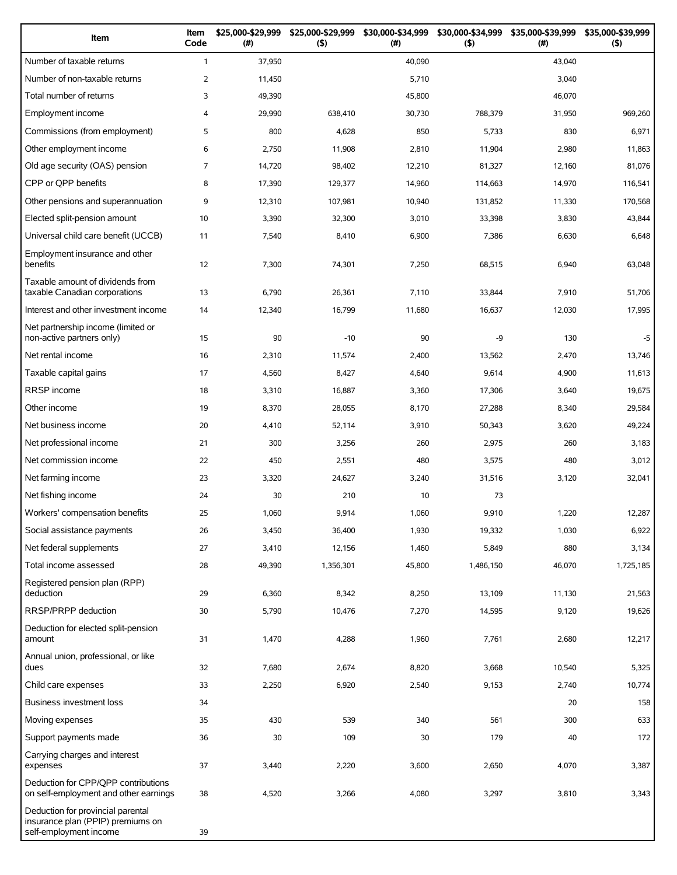| Item                                                                                             | Item<br>Code   | \$25,000-\$29,999<br>(#) | \$25,000-\$29,999<br>(5) | \$30,000-\$34,999<br>(# ) | \$30,000-\$34,999<br>(5) | \$35,000-\$39,999<br>$(\#)$ | \$35,000-\$39,999<br>(5) |
|--------------------------------------------------------------------------------------------------|----------------|--------------------------|--------------------------|---------------------------|--------------------------|-----------------------------|--------------------------|
| Number of taxable returns                                                                        | $\mathbf{1}$   | 37,950                   |                          | 40,090                    |                          | 43,040                      |                          |
| Number of non-taxable returns                                                                    | 2              | 11,450                   |                          | 5,710                     |                          | 3,040                       |                          |
| Total number of returns                                                                          | 3              | 49,390                   |                          | 45,800                    |                          | 46,070                      |                          |
| Employment income                                                                                | 4              | 29,990                   | 638,410                  | 30,730                    | 788,379                  | 31,950                      | 969,260                  |
| Commissions (from employment)                                                                    | 5              | 800                      | 4,628                    | 850                       | 5,733                    | 830                         | 6,971                    |
| Other employment income                                                                          | 6              | 2,750                    | 11,908                   | 2,810                     | 11,904                   | 2,980                       | 11,863                   |
| Old age security (OAS) pension                                                                   | $\overline{7}$ | 14,720                   | 98,402                   | 12,210                    | 81,327                   | 12,160                      | 81,076                   |
| CPP or QPP benefits                                                                              | 8              | 17,390                   | 129,377                  | 14,960                    | 114,663                  | 14,970                      | 116,541                  |
| Other pensions and superannuation                                                                | 9              | 12,310                   | 107,981                  | 10,940                    | 131,852                  | 11,330                      | 170,568                  |
| Elected split-pension amount                                                                     | 10             | 3,390                    | 32,300                   | 3,010                     | 33,398                   | 3,830                       | 43,844                   |
| Universal child care benefit (UCCB)                                                              | 11             | 7,540                    | 8,410                    | 6,900                     | 7,386                    | 6,630                       | 6,648                    |
| Employment insurance and other<br>benefits                                                       | 12             | 7,300                    | 74,301                   | 7,250                     | 68,515                   | 6,940                       | 63,048                   |
| Taxable amount of dividends from<br>taxable Canadian corporations                                | 13             | 6,790                    | 26,361                   | 7,110                     | 33,844                   | 7,910                       | 51,706                   |
| Interest and other investment income                                                             | 14             | 12,340                   | 16,799                   | 11,680                    | 16,637                   | 12,030                      | 17,995                   |
| Net partnership income (limited or<br>non-active partners only)                                  | 15             | 90                       | $-10$                    | 90                        | -9                       | 130                         | $-5$                     |
| Net rental income                                                                                | 16             | 2,310                    | 11,574                   | 2,400                     | 13,562                   | 2,470                       | 13,746                   |
| Taxable capital gains                                                                            | 17             | 4,560                    | 8,427                    | 4,640                     | 9,614                    | 4,900                       | 11,613                   |
| <b>RRSP</b> income                                                                               | 18             | 3,310                    | 16,887                   | 3,360                     | 17,306                   | 3,640                       | 19,675                   |
| Other income                                                                                     | 19             | 8,370                    | 28,055                   | 8,170                     | 27,288                   | 8,340                       | 29,584                   |
| Net business income                                                                              | 20             | 4,410                    | 52,114                   | 3,910                     | 50,343                   | 3,620                       | 49,224                   |
| Net professional income                                                                          | 21             | 300                      | 3,256                    | 260                       | 2,975                    | 260                         | 3,183                    |
| Net commission income                                                                            | 22             | 450                      | 2,551                    | 480                       | 3,575                    | 480                         | 3,012                    |
| Net farming income                                                                               | 23             | 3,320                    | 24,627                   | 3,240                     | 31,516                   | 3,120                       | 32,041                   |
| Net fishing income                                                                               | 24             | 30                       | 210                      | 10                        | 73                       |                             |                          |
| Workers' compensation benefits                                                                   | 25             | 1,060                    | 9,914                    | 1,060                     | 9,910                    | 1,220                       | 12,287                   |
| Social assistance payments                                                                       | 26             | 3,450                    | 36,400                   | 1,930                     | 19,332                   | 1,030                       | 6,922                    |
| Net federal supplements                                                                          | 27             | 3,410                    | 12,156                   | 1,460                     | 5,849                    | 880                         | 3,134                    |
| Total income assessed                                                                            | 28             | 49,390                   | 1,356,301                | 45,800                    | 1,486,150                | 46,070                      | 1,725,185                |
| Registered pension plan (RPP)<br>deduction                                                       | 29             | 6,360                    | 8,342                    | 8,250                     | 13,109                   | 11,130                      | 21,563                   |
| RRSP/PRPP deduction                                                                              | 30             | 5,790                    | 10,476                   | 7,270                     | 14,595                   | 9,120                       | 19,626                   |
| Deduction for elected split-pension<br>amount                                                    | 31             | 1,470                    | 4,288                    | 1,960                     | 7,761                    | 2,680                       | 12,217                   |
| Annual union, professional, or like<br>dues                                                      | 32             | 7,680                    | 2,674                    | 8,820                     | 3,668                    | 10,540                      | 5,325                    |
| Child care expenses                                                                              | 33             | 2,250                    | 6,920                    | 2,540                     | 9,153                    | 2,740                       | 10,774                   |
| Business investment loss                                                                         | 34             |                          |                          |                           |                          | 20                          | 158                      |
| Moving expenses                                                                                  | 35             | 430                      | 539                      | 340                       | 561                      | 300                         | 633                      |
| Support payments made                                                                            | 36             | 30                       | 109                      | 30                        | 179                      | 40                          | 172                      |
| Carrying charges and interest<br>expenses                                                        | 37             | 3,440                    | 2,220                    | 3,600                     | 2,650                    | 4,070                       | 3,387                    |
| Deduction for CPP/QPP contributions<br>on self-employment and other earnings                     | 38             | 4,520                    | 3,266                    | 4,080                     | 3,297                    | 3,810                       | 3,343                    |
| Deduction for provincial parental<br>insurance plan (PPIP) premiums on<br>self-employment income | 39             |                          |                          |                           |                          |                             |                          |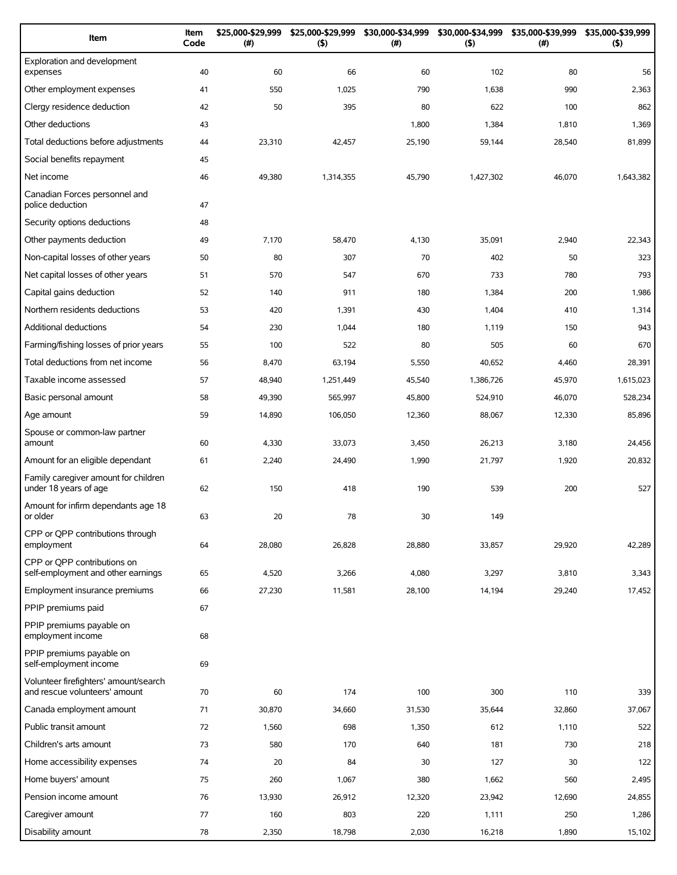| Item                                                                   | Item<br>Code | \$25,000-\$29,999<br>(#) | \$25,000-\$29,999<br>(5) | \$30,000-\$34,999<br>(#) | \$30,000-\$34,999<br>(5) | \$35,000-\$39,999<br>$(\#)$ | \$35,000-\$39,999<br>(5) |
|------------------------------------------------------------------------|--------------|--------------------------|--------------------------|--------------------------|--------------------------|-----------------------------|--------------------------|
| Exploration and development<br>expenses                                | 40           | 60                       | 66                       | 60                       | 102                      | 80                          | 56                       |
| Other employment expenses                                              | 41           | 550                      | 1,025                    | 790                      | 1,638                    | 990                         | 2,363                    |
| Clergy residence deduction                                             | 42           | 50                       | 395                      | 80                       | 622                      | 100                         | 862                      |
| Other deductions                                                       | 43           |                          |                          | 1,800                    | 1,384                    | 1,810                       | 1,369                    |
| Total deductions before adjustments                                    | 44           | 23,310                   | 42,457                   | 25,190                   | 59,144                   | 28,540                      | 81,899                   |
| Social benefits repayment                                              | 45           |                          |                          |                          |                          |                             |                          |
| Net income                                                             | 46           | 49,380                   | 1,314,355                | 45,790                   | 1,427,302                | 46,070                      | 1,643,382                |
| Canadian Forces personnel and<br>police deduction                      | 47           |                          |                          |                          |                          |                             |                          |
| Security options deductions                                            | 48           |                          |                          |                          |                          |                             |                          |
| Other payments deduction                                               | 49           | 7,170                    | 58,470                   | 4,130                    | 35,091                   | 2,940                       | 22,343                   |
| Non-capital losses of other years                                      | 50           | 80                       | 307                      | 70                       | 402                      | 50                          | 323                      |
| Net capital losses of other years                                      | 51           | 570                      | 547                      | 670                      | 733                      | 780                         | 793                      |
| Capital gains deduction                                                | 52           | 140                      | 911                      | 180                      | 1,384                    | 200                         | 1,986                    |
| Northern residents deductions                                          | 53           | 420                      | 1,391                    | 430                      | 1,404                    | 410                         | 1,314                    |
| <b>Additional deductions</b>                                           | 54           | 230                      | 1,044                    | 180                      | 1,119                    | 150                         | 943                      |
| Farming/fishing losses of prior years                                  | 55           | 100                      | 522                      | 80                       | 505                      | 60                          | 670                      |
| Total deductions from net income                                       | 56           | 8,470                    | 63,194                   | 5,550                    | 40,652                   | 4,460                       | 28,391                   |
| Taxable income assessed                                                | 57           | 48,940                   | 1,251,449                | 45,540                   | 1,386,726                | 45,970                      | 1,615,023                |
| Basic personal amount                                                  | 58           | 49,390                   | 565,997                  | 45,800                   | 524,910                  | 46,070                      | 528,234                  |
| Age amount                                                             | 59           | 14,890                   | 106,050                  | 12,360                   | 88,067                   | 12,330                      | 85,896                   |
| Spouse or common-law partner<br>amount                                 | 60           | 4,330                    | 33,073                   | 3,450                    | 26,213                   | 3,180                       | 24,456                   |
| Amount for an eligible dependant                                       | 61           | 2,240                    | 24,490                   | 1,990                    | 21,797                   | 1,920                       | 20,832                   |
| Family caregiver amount for children<br>under 18 years of age          | 62           | 150                      | 418                      | 190                      | 539                      | 200                         | 527                      |
| Amount for infirm dependants age 18<br>or older                        | 63           | 20                       | 78                       | 30                       | 149                      |                             |                          |
| CPP or QPP contributions through<br>employment                         | 64           | 28,080                   | 26,828                   | 28,880                   | 33,857                   | 29,920                      | 42,289                   |
| CPP or OPP contributions on<br>self-employment and other earnings      | 65           | 4,520                    | 3,266                    | 4,080                    | 3,297                    | 3,810                       | 3,343                    |
| Employment insurance premiums                                          | 66           | 27,230                   | 11,581                   | 28,100                   | 14,194                   | 29,240                      | 17,452                   |
| PPIP premiums paid                                                     | 67           |                          |                          |                          |                          |                             |                          |
| PPIP premiums payable on<br>employment income                          | 68           |                          |                          |                          |                          |                             |                          |
| PPIP premiums payable on<br>self-employment income                     | 69           |                          |                          |                          |                          |                             |                          |
| Volunteer firefighters' amount/search<br>and rescue volunteers' amount | 70           | 60                       | 174                      | 100                      | 300                      | 110                         | 339                      |
| Canada employment amount                                               | 71           | 30,870                   | 34,660                   | 31,530                   | 35,644                   | 32,860                      | 37,067                   |
| Public transit amount                                                  | 72           | 1,560                    | 698                      | 1,350                    | 612                      | 1,110                       | 522                      |
| Children's arts amount                                                 | 73           | 580                      | 170                      | 640                      | 181                      | 730                         | 218                      |
| Home accessibility expenses                                            | 74           | 20                       | 84                       | 30                       | 127                      | 30                          | 122                      |
| Home buyers' amount                                                    | 75           | 260                      | 1,067                    | 380                      | 1,662                    | 560                         | 2,495                    |
| Pension income amount                                                  | 76           | 13,930                   | 26,912                   | 12,320                   | 23,942                   | 12,690                      | 24,855                   |
| Caregiver amount                                                       | 77           | 160                      | 803                      | 220                      | 1,111                    | 250                         | 1,286                    |
| Disability amount                                                      | 78           | 2,350                    | 18,798                   | 2,030                    | 16,218                   | 1,890                       | 15,102                   |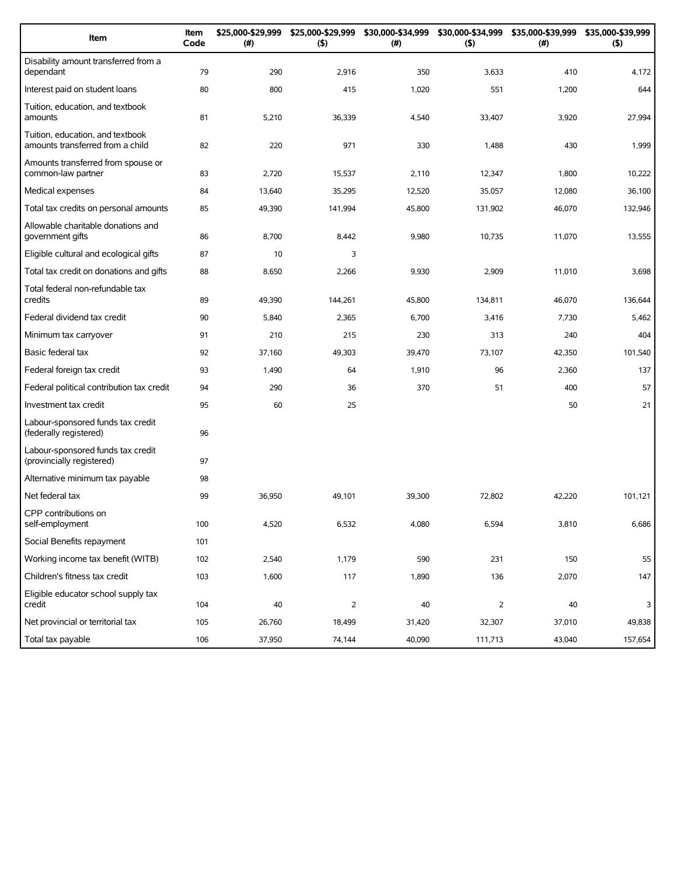| Item                                                                 | Item<br>Code | \$25,000-\$29,999<br>(#) | \$25,000-\$29,999<br>(5) | \$30,000-\$34,999<br>(# ) | \$30,000-\$34,999<br>(5) | \$35,000-\$39,999<br>(#) | \$35,000-\$39,999<br>(5) |
|----------------------------------------------------------------------|--------------|--------------------------|--------------------------|---------------------------|--------------------------|--------------------------|--------------------------|
| Disability amount transferred from a<br>dependant                    | 79           | 290                      | 2,916                    | 350                       | 3,633                    | 410                      | 4,172                    |
| Interest paid on student loans                                       | 80           | 800                      | 415                      | 1,020                     | 551                      | 1,200                    | 644                      |
| Tuition, education, and textbook<br>amounts                          | 81           | 5,210                    | 36,339                   | 4,540                     | 33,407                   | 3,920                    | 27,994                   |
| Tuition, education, and textbook<br>amounts transferred from a child | 82           | 220                      | 971                      | 330                       | 1,488                    | 430                      | 1,999                    |
| Amounts transferred from spouse or<br>common-law partner             | 83           | 2,720                    | 15,537                   | 2,110                     | 12,347                   | 1,800                    | 10,222                   |
| Medical expenses                                                     | 84           | 13,640                   | 35,295                   | 12,520                    | 35,057                   | 12,080                   | 36,100                   |
| Total tax credits on personal amounts                                | 85           | 49,390                   | 141,994                  | 45,800                    | 131,902                  | 46,070                   | 132,946                  |
| Allowable charitable donations and<br>government gifts               | 86           | 8,700                    | 8,442                    | 9,980                     | 10,735                   | 11,070                   | 13,555                   |
| Eligible cultural and ecological gifts                               | 87           | 10                       | 3                        |                           |                          |                          |                          |
| Total tax credit on donations and gifts                              | 88           | 8,650                    | 2,266                    | 9,930                     | 2,909                    | 11,010                   | 3,698                    |
| Total federal non-refundable tax<br>credits                          | 89           | 49,390                   | 144,261                  | 45,800                    | 134,811                  | 46,070                   | 136,644                  |
| Federal dividend tax credit                                          | 90           | 5,840                    | 2,365                    | 6,700                     | 3,416                    | 7,730                    | 5,462                    |
| Minimum tax carryover                                                | 91           | 210                      | 215                      | 230                       | 313                      | 240                      | 404                      |
| Basic federal tax                                                    | 92           | 37,160                   | 49,303                   | 39,470                    | 73,107                   | 42,350                   | 101,540                  |
| Federal foreign tax credit                                           | 93           | 1,490                    | 64                       | 1,910                     | 96                       | 2,360                    | 137                      |
| Federal political contribution tax credit                            | 94           | 290                      | 36                       | 370                       | 51                       | 400                      | 57                       |
| Investment tax credit                                                | 95           | 60                       | 25                       |                           |                          | 50                       | 21                       |
| Labour-sponsored funds tax credit<br>(federally registered)          | 96           |                          |                          |                           |                          |                          |                          |
| Labour-sponsored funds tax credit<br>(provincially registered)       | 97           |                          |                          |                           |                          |                          |                          |
| Alternative minimum tax payable                                      | 98           |                          |                          |                           |                          |                          |                          |
| Net federal tax                                                      | 99           | 36,950                   | 49,101                   | 39,300                    | 72,802                   | 42,220                   | 101,121                  |
| CPP contributions on<br>self-employment                              | 100          | 4,520                    | 6,532                    | 4,080                     | 6,594                    | 3,810                    | 6,686                    |
| Social Benefits repayment                                            | 101          |                          |                          |                           |                          |                          |                          |
| Working income tax benefit (WITB)                                    | 102          | 2,540                    | 1,179                    | 590                       | 231                      | 150                      | 55                       |
| Children's fitness tax credit                                        | 103          | 1,600                    | 117                      | 1,890                     | 136                      | 2,070                    | 147                      |
| Eligible educator school supply tax<br>credit                        | 104          | $40\,$                   | $\overline{2}$           | 40                        | $\overline{2}$           | 40                       | 3                        |
| Net provincial or territorial tax                                    | 105          | 26,760                   | 18,499                   | 31,420                    | 32,307                   | 37,010                   | 49,838                   |
| Total tax payable                                                    | 106          | 37,950                   | 74,144                   | 40,090                    | 111,713                  | 43,040                   | 157,654                  |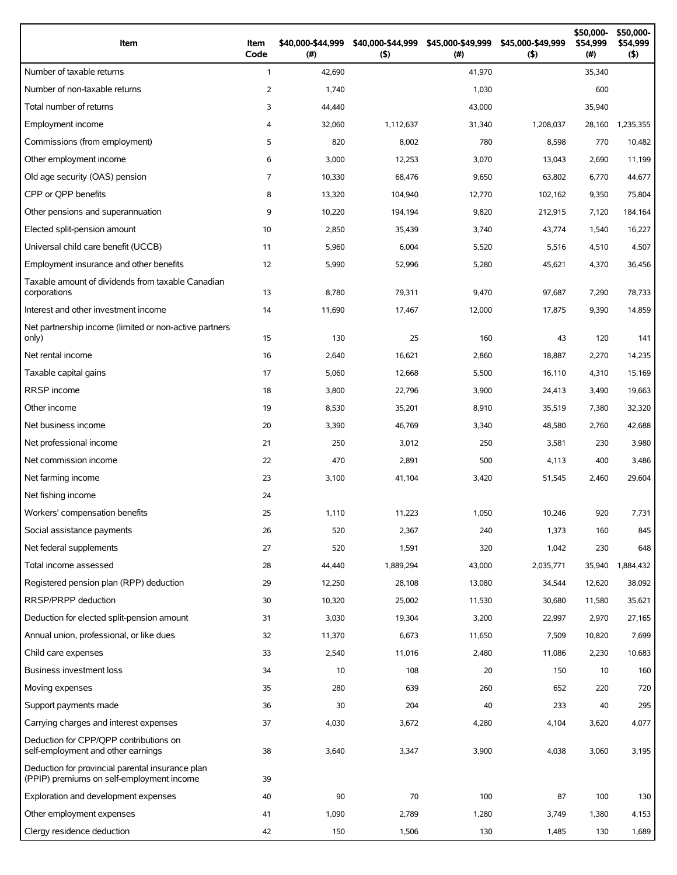| Item                                                                                          | Item<br>Code   | \$40,000-\$44,999<br>$($ #) | \$40,000-\$44,999<br>(5) | \$45,000-\$49,999<br>(# ) | \$45,000-\$49,999<br>(5) | \$50,000-<br>\$54,999<br>(# ) | \$50,000-<br>\$54,999<br>(5) |
|-----------------------------------------------------------------------------------------------|----------------|-----------------------------|--------------------------|---------------------------|--------------------------|-------------------------------|------------------------------|
| Number of taxable returns                                                                     | $\mathbf{1}$   | 42,690                      |                          | 41,970                    |                          | 35,340                        |                              |
| Number of non-taxable returns                                                                 | 2              | 1,740                       |                          | 1,030                     |                          | 600                           |                              |
| Total number of returns                                                                       | 3              | 44,440                      |                          | 43,000                    |                          | 35,940                        |                              |
| Employment income                                                                             | $\overline{4}$ | 32,060                      | 1,112,637                | 31,340                    | 1,208,037                | 28,160                        | 1,235,355                    |
| Commissions (from employment)                                                                 | 5              | 820                         | 8,002                    | 780                       | 8,598                    | 770                           | 10,482                       |
| Other employment income                                                                       | 6              | 3,000                       | 12,253                   | 3,070                     | 13,043                   | 2,690                         | 11,199                       |
| Old age security (OAS) pension                                                                | $\overline{7}$ | 10,330                      | 68,476                   | 9,650                     | 63,802                   | 6,770                         | 44,677                       |
| CPP or OPP benefits                                                                           | 8              | 13,320                      | 104,940                  | 12,770                    | 102,162                  | 9,350                         | 75,804                       |
| Other pensions and superannuation                                                             | 9              | 10,220                      | 194,194                  | 9,820                     | 212,915                  | 7,120                         | 184,164                      |
| Elected split-pension amount                                                                  | 10             | 2,850                       | 35,439                   | 3,740                     | 43,774                   | 1,540                         | 16,227                       |
| Universal child care benefit (UCCB)                                                           | 11             | 5,960                       | 6,004                    | 5,520                     | 5,516                    | 4,510                         | 4,507                        |
| Employment insurance and other benefits                                                       | 12             | 5,990                       | 52,996                   | 5,280                     | 45,621                   | 4,370                         | 36,456                       |
| Taxable amount of dividends from taxable Canadian<br>corporations                             | 13             | 8,780                       | 79,311                   | 9,470                     | 97,687                   | 7,290                         | 78,733                       |
| Interest and other investment income                                                          | 14             | 11,690                      | 17,467                   | 12,000                    | 17,875                   | 9,390                         | 14,859                       |
| Net partnership income (limited or non-active partners<br>only)                               | 15             | 130                         | 25                       | 160                       | 43                       | 120                           | 141                          |
| Net rental income                                                                             | 16             | 2,640                       | 16,621                   | 2,860                     | 18,887                   | 2,270                         | 14,235                       |
| Taxable capital gains                                                                         | 17             | 5,060                       | 12,668                   | 5,500                     | 16,110                   | 4,310                         | 15,169                       |
| <b>RRSP</b> income                                                                            | 18             | 3,800                       | 22,796                   | 3,900                     | 24,413                   | 3,490                         | 19,663                       |
| Other income                                                                                  | 19             | 8,530                       | 35,201                   | 8,910                     | 35,519                   | 7,380                         | 32,320                       |
| Net business income                                                                           | 20             | 3,390                       | 46,769                   | 3,340                     | 48,580                   | 2,760                         | 42,688                       |
| Net professional income                                                                       | 21             | 250                         | 3,012                    | 250                       | 3,581                    | 230                           | 3,980                        |
| Net commission income                                                                         | 22             | 470                         | 2,891                    | 500                       | 4,113                    | 400                           | 3,486                        |
| Net farming income                                                                            | 23             | 3,100                       | 41,104                   | 3,420                     | 51,545                   | 2,460                         | 29,604                       |
| Net fishing income                                                                            | 24             |                             |                          |                           |                          |                               |                              |
| Workers' compensation benefits                                                                | 25             | 1,110                       | 11,223                   | 1,050                     | 10,246                   | 920                           | 7,731                        |
| Social assistance payments                                                                    | 26             | 520                         | 2,367                    | 240                       | 1,373                    | 160                           | 845                          |
| Net federal supplements                                                                       | 27             | 520                         | 1,591                    | 320                       | 1,042                    | 230                           | 648                          |
| Total income assessed                                                                         | 28             | 44,440                      | 1,889,294                | 43,000                    | 2,035,771                | 35,940                        | 1,884,432                    |
| Registered pension plan (RPP) deduction                                                       | 29             | 12,250                      | 28,108                   | 13,080                    | 34,544                   | 12,620                        | 38,092                       |
| RRSP/PRPP deduction                                                                           | 30             | 10,320                      | 25,002                   | 11,530                    | 30,680                   | 11,580                        | 35,621                       |
| Deduction for elected split-pension amount                                                    | 31             | 3,030                       | 19,304                   | 3,200                     | 22,997                   | 2,970                         | 27,165                       |
| Annual union, professional, or like dues                                                      | 32             | 11,370                      | 6,673                    | 11,650                    | 7,509                    | 10,820                        | 7,699                        |
| Child care expenses                                                                           | 33             | 2,540                       | 11,016                   | 2,480                     | 11,086                   | 2,230                         | 10,683                       |
| Business investment loss                                                                      | 34             | 10                          | 108                      | 20                        | 150                      | 10                            | 160                          |
| Moving expenses                                                                               | 35             | 280                         | 639                      | 260                       | 652                      | 220                           | 720                          |
| Support payments made                                                                         | 36             | 30                          | 204                      | 40                        | 233                      | 40                            | 295                          |
| Carrying charges and interest expenses                                                        | 37             | 4,030                       | 3,672                    | 4,280                     | 4,104                    | 3,620                         | 4,077                        |
| Deduction for CPP/QPP contributions on<br>self-employment and other earnings                  | 38             | 3,640                       | 3,347                    | 3,900                     | 4,038                    | 3,060                         | 3,195                        |
| Deduction for provincial parental insurance plan<br>(PPIP) premiums on self-employment income | 39             |                             |                          |                           |                          |                               |                              |
| Exploration and development expenses                                                          | 40             | 90                          | 70                       | 100                       | 87                       | 100                           | 130                          |
| Other employment expenses                                                                     | 41             | 1,090                       | 2,789                    | 1,280                     | 3,749                    | 1,380                         | 4,153                        |
| Clergy residence deduction                                                                    | 42             | 150                         | 1,506                    | 130                       | 1,485                    | 130                           | 1,689                        |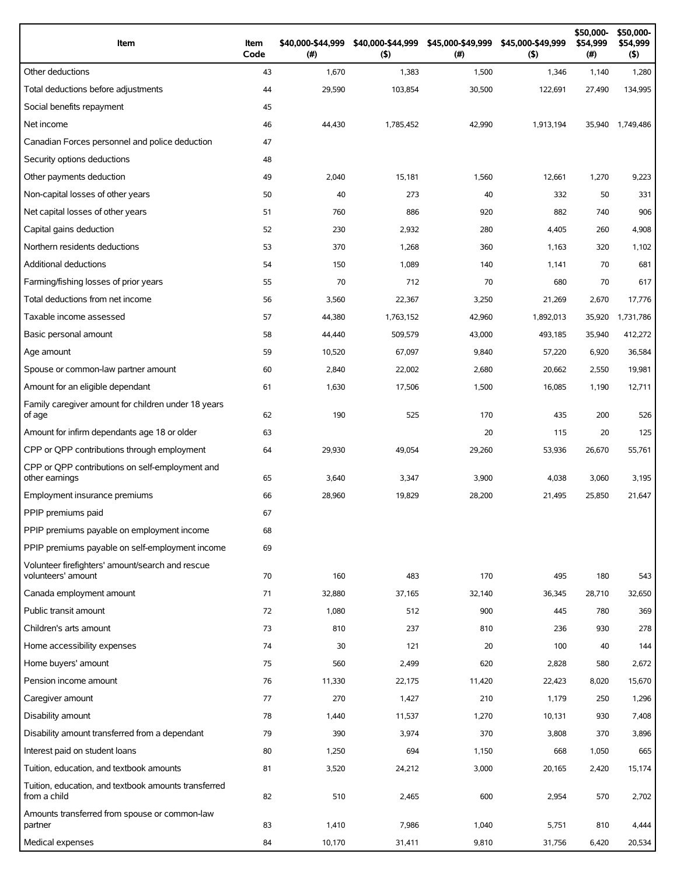| Item                                                                 | Item<br>Code | \$40,000-\$44,999<br>(#) | \$40,000-\$44,999<br>(5) | \$45,000-\$49,999<br>(#) | \$45,000-\$49,999<br>(5) | \$50,000-<br>\$54,999<br>$(\#)$ | \$50,000-<br>\$54,999<br>$($ \$) |
|----------------------------------------------------------------------|--------------|--------------------------|--------------------------|--------------------------|--------------------------|---------------------------------|----------------------------------|
| Other deductions                                                     | 43           | 1,670                    | 1,383                    | 1,500                    | 1,346                    | 1,140                           | 1,280                            |
| Total deductions before adjustments                                  | 44           | 29,590                   | 103,854                  | 30,500                   | 122,691                  | 27,490                          | 134,995                          |
| Social benefits repayment                                            | 45           |                          |                          |                          |                          |                                 |                                  |
| Net income                                                           | 46           | 44,430                   | 1,785,452                | 42,990                   | 1,913,194                | 35,940                          | 1,749,486                        |
| Canadian Forces personnel and police deduction                       | 47           |                          |                          |                          |                          |                                 |                                  |
| Security options deductions                                          | 48           |                          |                          |                          |                          |                                 |                                  |
| Other payments deduction                                             | 49           | 2,040                    | 15,181                   | 1,560                    | 12,661                   | 1,270                           | 9,223                            |
| Non-capital losses of other years                                    | 50           | 40                       | 273                      | 40                       | 332                      | 50                              | 331                              |
| Net capital losses of other years                                    | 51           | 760                      | 886                      | 920                      | 882                      | 740                             | 906                              |
| Capital gains deduction                                              | 52           | 230                      | 2,932                    | 280                      | 4,405                    | 260                             | 4,908                            |
| Northern residents deductions                                        | 53           | 370                      | 1,268                    | 360                      | 1,163                    | 320                             | 1,102                            |
| Additional deductions                                                | 54           | 150                      | 1,089                    | 140                      | 1,141                    | 70                              | 681                              |
| Farming/fishing losses of prior years                                | 55           | 70                       | 712                      | 70                       | 680                      | 70                              | 617                              |
| Total deductions from net income                                     | 56           | 3,560                    | 22,367                   | 3,250                    | 21,269                   | 2,670                           | 17,776                           |
| Taxable income assessed                                              | 57           | 44,380                   | 1,763,152                | 42,960                   | 1,892,013                | 35,920                          | 1,731,786                        |
| Basic personal amount                                                | 58           | 44,440                   | 509,579                  | 43,000                   | 493,185                  | 35,940                          | 412,272                          |
| Age amount                                                           | 59           | 10,520                   | 67,097                   | 9,840                    | 57,220                   | 6,920                           | 36,584                           |
| Spouse or common-law partner amount                                  | 60           | 2,840                    | 22,002                   | 2,680                    | 20,662                   | 2,550                           | 19,981                           |
| Amount for an eligible dependant                                     | 61           | 1,630                    | 17,506                   | 1,500                    | 16,085                   | 1,190                           | 12,711                           |
| Family caregiver amount for children under 18 years<br>of age        | 62           | 190                      | 525                      | 170                      | 435                      | 200                             | 526                              |
| Amount for infirm dependants age 18 or older                         | 63           |                          |                          | 20                       | 115                      | 20                              | 125                              |
| CPP or QPP contributions through employment                          | 64           | 29,930                   | 49,054                   | 29,260                   | 53,936                   | 26,670                          | 55,761                           |
| CPP or OPP contributions on self-employment and<br>other earnings    | 65           | 3,640                    | 3,347                    | 3,900                    | 4,038                    | 3,060                           | 3,195                            |
| Employment insurance premiums                                        | 66           | 28,960                   | 19,829                   | 28,200                   | 21,495                   | 25,850                          | 21,647                           |
| PPIP premiums paid                                                   | 67           |                          |                          |                          |                          |                                 |                                  |
| PPIP premiums payable on employment income                           | 68           |                          |                          |                          |                          |                                 |                                  |
| PPIP premiums payable on self-employment income                      | 69           |                          |                          |                          |                          |                                 |                                  |
| Volunteer firefighters' amount/search and rescue                     |              |                          |                          |                          |                          |                                 |                                  |
| volunteers' amount                                                   | 70           | 160                      | 483                      | 170                      | 495                      | 180                             | 543                              |
| Canada employment amount                                             | 71           | 32,880                   | 37,165                   | 32,140                   | 36,345                   | 28,710                          | 32,650                           |
| Public transit amount                                                | 72           | 1,080                    | 512                      | 900                      | 445                      | 780                             | 369                              |
| Children's arts amount                                               | 73           | 810                      | 237                      | 810                      | 236                      | 930                             | 278                              |
| Home accessibility expenses                                          | 74           | 30                       | 121                      | 20                       | 100                      | 40                              | 144                              |
| Home buyers' amount                                                  | 75           | 560                      | 2,499                    | 620                      | 2,828                    | 580                             | 2,672                            |
| Pension income amount                                                | 76           | 11,330                   | 22,175                   | 11,420                   | 22,423                   | 8,020                           | 15,670                           |
| Caregiver amount                                                     | 77           | 270                      | 1,427                    | 210                      | 1,179                    | 250                             | 1,296                            |
| Disability amount                                                    | 78           | 1,440                    | 11,537                   | 1,270                    | 10,131                   | 930                             | 7,408                            |
| Disability amount transferred from a dependant                       | 79           | 390                      | 3,974                    | 370                      | 3,808                    | 370                             | 3,896                            |
| Interest paid on student loans                                       | 80           | 1,250                    | 694                      | 1,150                    | 668                      | 1,050                           | 665                              |
| Tuition, education, and textbook amounts                             | 81           | 3,520                    | 24,212                   | 3,000                    | 20,165                   | 2,420                           | 15,174                           |
| Tuition, education, and textbook amounts transferred<br>from a child | 82           | 510                      | 2,465                    | 600                      | 2,954                    | 570                             | 2,702                            |
| Amounts transferred from spouse or common-law<br>partner             | 83           | 1,410                    | 7,986                    | 1,040                    | 5,751                    | 810                             | 4,444                            |
| Medical expenses                                                     | 84           | 10,170                   | 31,411                   | 9,810                    | 31,756                   | 6,420                           | 20,534                           |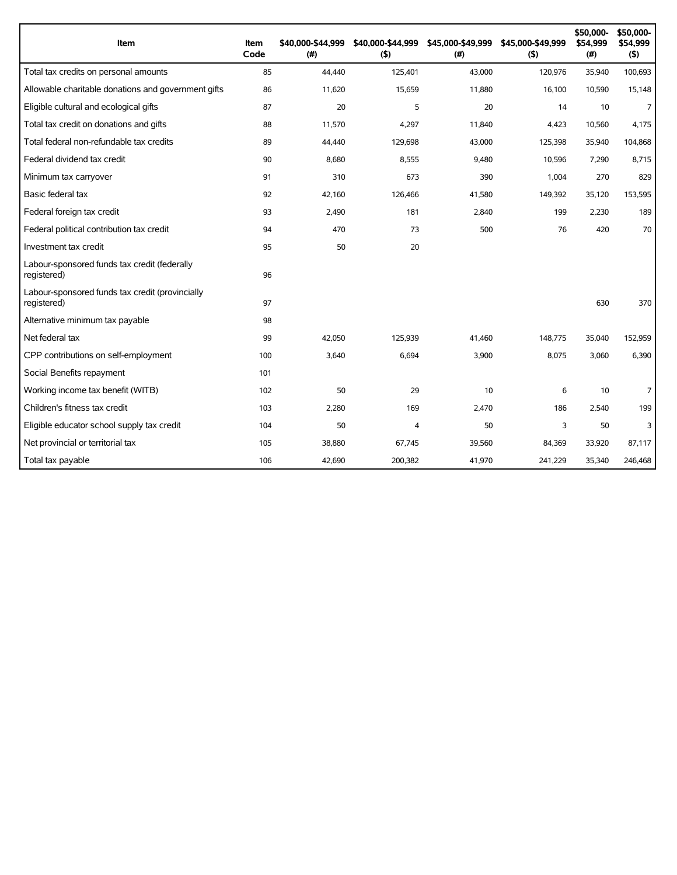| Item                                                           | Item<br>Code | \$40,000-\$44,999<br>(#) | \$40,000-\$44,999<br>(5) | \$45,000-\$49,999<br>(#) | \$45,000-\$49,999<br>(5) | \$50,000-<br>\$54,999<br>(#) | \$50,000-<br>\$54,999<br>(\$) |
|----------------------------------------------------------------|--------------|--------------------------|--------------------------|--------------------------|--------------------------|------------------------------|-------------------------------|
| Total tax credits on personal amounts                          | 85           | 44,440                   | 125,401                  | 43,000                   | 120,976                  | 35,940                       | 100,693                       |
| Allowable charitable donations and government gifts            | 86           | 11,620                   | 15,659                   | 11,880                   | 16,100                   | 10,590                       | 15,148                        |
| Eligible cultural and ecological gifts                         | 87           | 20                       | 5                        | 20                       | 14                       | 10                           | $\overline{7}$                |
| Total tax credit on donations and gifts                        | 88           | 11.570                   | 4.297                    | 11.840                   | 4,423                    | 10.560                       | 4,175                         |
| Total federal non-refundable tax credits                       | 89           | 44,440                   | 129,698                  | 43,000                   | 125,398                  | 35,940                       | 104,868                       |
| Federal dividend tax credit                                    | 90           | 8,680                    | 8,555                    | 9,480                    | 10,596                   | 7,290                        | 8,715                         |
| Minimum tax carryover                                          | 91           | 310                      | 673                      | 390                      | 1,004                    | 270                          | 829                           |
| Basic federal tax                                              | 92           | 42.160                   | 126,466                  | 41.580                   | 149,392                  | 35.120                       | 153,595                       |
| Federal foreign tax credit                                     | 93           | 2,490                    | 181                      | 2,840                    | 199                      | 2,230                        | 189                           |
| Federal political contribution tax credit                      | 94           | 470                      | 73                       | 500                      | 76                       | 420                          | 70                            |
| Investment tax credit                                          | 95           | 50                       | 20                       |                          |                          |                              |                               |
| Labour-sponsored funds tax credit (federally<br>registered)    | 96           |                          |                          |                          |                          |                              |                               |
| Labour-sponsored funds tax credit (provincially<br>registered) | 97           |                          |                          |                          |                          | 630                          | 370                           |
| Alternative minimum tax payable                                | 98           |                          |                          |                          |                          |                              |                               |
| Net federal tax                                                | 99           | 42.050                   | 125.939                  | 41.460                   | 148,775                  | 35,040                       | 152,959                       |
| CPP contributions on self-employment                           | 100          | 3,640                    | 6,694                    | 3,900                    | 8,075                    | 3,060                        | 6,390                         |
| Social Benefits repayment                                      | 101          |                          |                          |                          |                          |                              |                               |
| Working income tax benefit (WITB)                              | 102          | 50                       | 29                       | 10                       | 6                        | 10                           | 7                             |
| Children's fitness tax credit                                  | 103          | 2,280                    | 169                      | 2,470                    | 186                      | 2,540                        | 199                           |
| Eligible educator school supply tax credit                     | 104          | 50                       | 4                        | 50                       | 3                        | 50                           | 3                             |
| Net provincial or territorial tax                              | 105          | 38,880                   | 67,745                   | 39,560                   | 84,369                   | 33,920                       | 87,117                        |
| Total tax payable                                              | 106          | 42,690                   | 200,382                  | 41,970                   | 241,229                  | 35,340                       | 246,468                       |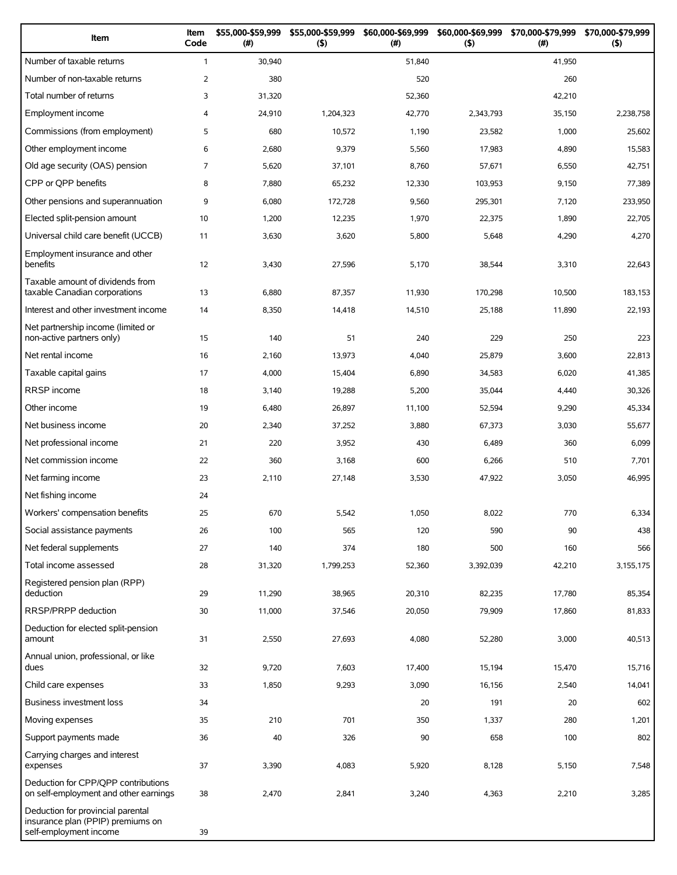| Item                                                                                             | Item<br>Code   | \$55,000-\$59,999<br>(#) | \$55,000-\$59,999<br>(5) | \$60,000-\$69,999<br>(# ) | \$60,000-\$69,999<br>(5) | \$70,000-\$79,999<br>(#) | \$70,000-\$79,999<br>(5) |
|--------------------------------------------------------------------------------------------------|----------------|--------------------------|--------------------------|---------------------------|--------------------------|--------------------------|--------------------------|
| Number of taxable returns                                                                        | $\mathbf{1}$   | 30,940                   |                          | 51,840                    |                          | 41,950                   |                          |
| Number of non-taxable returns                                                                    | 2              | 380                      |                          | 520                       |                          | 260                      |                          |
| Total number of returns                                                                          | 3              | 31,320                   |                          | 52,360                    |                          | 42,210                   |                          |
| Employment income                                                                                | $\overline{4}$ | 24,910                   | 1,204,323                | 42,770                    | 2,343,793                | 35,150                   | 2,238,758                |
| Commissions (from employment)                                                                    | 5              | 680                      | 10,572                   | 1,190                     | 23,582                   | 1,000                    | 25,602                   |
| Other employment income                                                                          | 6              | 2,680                    | 9,379                    | 5,560                     | 17,983                   | 4,890                    | 15,583                   |
| Old age security (OAS) pension                                                                   | $\overline{7}$ | 5,620                    | 37,101                   | 8,760                     | 57,671                   | 6,550                    | 42,751                   |
| CPP or QPP benefits                                                                              | 8              | 7,880                    | 65,232                   | 12,330                    | 103,953                  | 9,150                    | 77,389                   |
| Other pensions and superannuation                                                                | 9              | 6,080                    | 172,728                  | 9,560                     | 295,301                  | 7,120                    | 233,950                  |
| Elected split-pension amount                                                                     | 10             | 1,200                    | 12,235                   | 1,970                     | 22,375                   | 1,890                    | 22,705                   |
| Universal child care benefit (UCCB)                                                              | 11             | 3,630                    | 3,620                    | 5,800                     | 5,648                    | 4,290                    | 4,270                    |
| Employment insurance and other<br>benefits                                                       | 12             | 3,430                    | 27,596                   | 5,170                     | 38,544                   | 3,310                    | 22,643                   |
| Taxable amount of dividends from<br>taxable Canadian corporations                                | 13             | 6,880                    | 87,357                   | 11,930                    | 170,298                  | 10,500                   | 183,153                  |
| Interest and other investment income                                                             | 14             | 8,350                    | 14,418                   | 14,510                    | 25,188                   | 11,890                   | 22,193                   |
| Net partnership income (limited or<br>non-active partners only)                                  | 15             | 140                      | 51                       | 240                       | 229                      | 250                      | 223                      |
| Net rental income                                                                                | 16             | 2,160                    | 13,973                   | 4,040                     | 25,879                   | 3,600                    | 22,813                   |
| Taxable capital gains                                                                            | 17             | 4,000                    | 15,404                   | 6,890                     | 34,583                   | 6,020                    | 41,385                   |
| <b>RRSP</b> income                                                                               | 18             | 3,140                    | 19,288                   | 5,200                     | 35,044                   | 4,440                    | 30,326                   |
| Other income                                                                                     | 19             | 6,480                    | 26,897                   | 11,100                    | 52,594                   | 9,290                    | 45,334                   |
| Net business income                                                                              | 20             | 2,340                    | 37,252                   | 3,880                     | 67,373                   | 3,030                    | 55,677                   |
| Net professional income                                                                          | 21             | 220                      | 3,952                    | 430                       | 6,489                    | 360                      | 6,099                    |
| Net commission income                                                                            | 22             | 360                      | 3,168                    | 600                       | 6,266                    | 510                      | 7,701                    |
| Net farming income                                                                               | 23             | 2,110                    | 27,148                   | 3,530                     | 47,922                   | 3,050                    | 46,995                   |
| Net fishing income                                                                               | 24             |                          |                          |                           |                          |                          |                          |
| Workers' compensation benefits                                                                   | 25             | 670                      | 5,542                    | 1,050                     | 8,022                    | 770                      | 6,334                    |
| Social assistance payments                                                                       | 26             | 100                      | 565                      | 120                       | 590                      | 90                       | 438                      |
| Net federal supplements                                                                          | 27             | 140                      | 374                      | 180                       | 500                      | 160                      | 566                      |
| Total income assessed                                                                            | 28             | 31,320                   | 1,799,253                | 52,360                    | 3,392,039                | 42,210                   | 3,155,175                |
| Registered pension plan (RPP)<br>deduction                                                       | 29             | 11,290                   | 38,965                   | 20,310                    | 82,235                   | 17,780                   | 85,354                   |
| <b>RRSP/PRPP</b> deduction                                                                       | 30             | 11,000                   | 37,546                   | 20,050                    | 79,909                   | 17,860                   | 81,833                   |
| Deduction for elected split-pension<br>amount                                                    | 31             | 2,550                    | 27,693                   | 4,080                     | 52,280                   | 3,000                    | 40,513                   |
| Annual union, professional, or like<br>dues                                                      | 32             | 9,720                    | 7,603                    | 17,400                    | 15,194                   | 15,470                   | 15,716                   |
| Child care expenses                                                                              | 33             | 1,850                    | 9,293                    | 3,090                     | 16,156                   | 2,540                    | 14,041                   |
| Business investment loss                                                                         | 34             |                          |                          | 20                        | 191                      | 20                       | 602                      |
| Moving expenses                                                                                  | 35             | 210                      | 701                      | 350                       | 1,337                    | 280                      | 1,201                    |
| Support payments made                                                                            | 36             | 40                       | 326                      | 90                        | 658                      | 100                      | 802                      |
| Carrying charges and interest<br>expenses                                                        | 37             | 3,390                    | 4,083                    | 5,920                     | 8,128                    | 5,150                    | 7,548                    |
| Deduction for CPP/QPP contributions<br>on self-employment and other earnings                     | 38             | 2,470                    | 2,841                    | 3,240                     | 4,363                    | 2,210                    | 3,285                    |
| Deduction for provincial parental<br>insurance plan (PPIP) premiums on<br>self-employment income | 39             |                          |                          |                           |                          |                          |                          |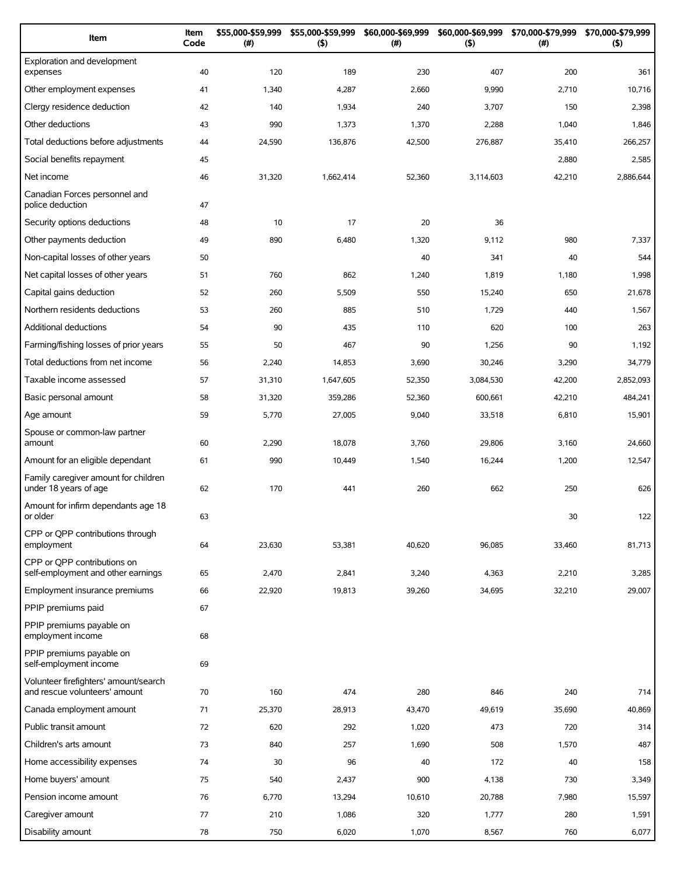| Item                                                                   | Item<br>Code | \$55,000-\$59,999<br>(#) | \$55,000-\$59,999<br>(5) | \$60,000-\$69,999<br>(#) | \$60,000-\$69,999<br>(5) | \$70,000-\$79,999<br>$(\#)$ | \$70,000-\$79,999<br>(5) |
|------------------------------------------------------------------------|--------------|--------------------------|--------------------------|--------------------------|--------------------------|-----------------------------|--------------------------|
| Exploration and development<br>expenses                                | 40           | 120                      | 189                      | 230                      | 407                      | 200                         | 361                      |
| Other employment expenses                                              | 41           | 1,340                    | 4,287                    | 2,660                    | 9,990                    | 2,710                       | 10,716                   |
| Clergy residence deduction                                             | 42           | 140                      | 1,934                    | 240                      | 3,707                    | 150                         | 2,398                    |
| Other deductions                                                       | 43           | 990                      | 1,373                    | 1,370                    | 2,288                    | 1,040                       | 1,846                    |
| Total deductions before adjustments                                    | 44           | 24,590                   | 136,876                  | 42,500                   | 276,887                  | 35,410                      | 266,257                  |
| Social benefits repayment                                              | 45           |                          |                          |                          |                          | 2,880                       | 2,585                    |
| Net income                                                             | 46           | 31,320                   | 1,662,414                | 52,360                   | 3,114,603                | 42,210                      | 2,886,644                |
| Canadian Forces personnel and<br>police deduction                      | 47           |                          |                          |                          |                          |                             |                          |
| Security options deductions                                            | 48           | 10                       | 17                       | 20                       | 36                       |                             |                          |
| Other payments deduction                                               | 49           | 890                      | 6,480                    | 1,320                    | 9,112                    | 980                         | 7,337                    |
| Non-capital losses of other years                                      | 50           |                          |                          | 40                       | 341                      | 40                          | 544                      |
| Net capital losses of other years                                      | 51           | 760                      | 862                      | 1,240                    | 1,819                    | 1,180                       | 1,998                    |
| Capital gains deduction                                                | 52           | 260                      | 5,509                    | 550                      | 15,240                   | 650                         | 21,678                   |
| Northern residents deductions                                          | 53           | 260                      | 885                      | 510                      | 1,729                    | 440                         | 1,567                    |
| <b>Additional deductions</b>                                           | 54           | 90                       | 435                      | 110                      | 620                      | 100                         | 263                      |
| Farming/fishing losses of prior years                                  | 55           | 50                       | 467                      | 90                       | 1,256                    | 90                          | 1,192                    |
| Total deductions from net income                                       | 56           | 2,240                    | 14,853                   | 3,690                    | 30,246                   | 3,290                       | 34,779                   |
| Taxable income assessed                                                | 57           | 31,310                   | 1,647,605                | 52,350                   | 3,084,530                | 42,200                      | 2,852,093                |
| Basic personal amount                                                  | 58           | 31,320                   | 359,286                  | 52,360                   | 600,661                  | 42,210                      | 484,241                  |
| Age amount                                                             | 59           | 5,770                    | 27,005                   | 9,040                    | 33,518                   | 6,810                       | 15,901                   |
| Spouse or common-law partner<br>amount                                 | 60           | 2,290                    | 18,078                   | 3,760                    | 29,806                   | 3,160                       | 24,660                   |
| Amount for an eligible dependant                                       | 61           | 990                      | 10,449                   | 1,540                    | 16,244                   | 1,200                       | 12,547                   |
| Family caregiver amount for children<br>under 18 years of age          | 62           | 170                      | 441                      | 260                      | 662                      | 250                         | 626                      |
| Amount for infirm dependants age 18<br>or older                        | 63           |                          |                          |                          |                          | 30                          | 122                      |
| CPP or QPP contributions through<br>employment                         | 64           | 23,630                   | 53,381                   | 40,620                   | 96,085                   | 33,460                      | 81,713                   |
| CPP or OPP contributions on<br>self-employment and other earnings      | 65           | 2,470                    | 2,841                    | 3,240                    | 4,363                    | 2,210                       | 3,285                    |
| Employment insurance premiums                                          | 66           | 22,920                   | 19,813                   | 39,260                   | 34,695                   | 32,210                      | 29,007                   |
| PPIP premiums paid                                                     | 67           |                          |                          |                          |                          |                             |                          |
| PPIP premiums payable on<br>employment income                          | 68           |                          |                          |                          |                          |                             |                          |
| PPIP premiums payable on<br>self-employment income                     | 69           |                          |                          |                          |                          |                             |                          |
| Volunteer firefighters' amount/search<br>and rescue volunteers' amount | 70           | 160                      | 474                      | 280                      | 846                      | 240                         | 714                      |
| Canada employment amount                                               | 71           | 25,370                   | 28,913                   | 43,470                   | 49,619                   | 35,690                      | 40,869                   |
| Public transit amount                                                  | 72           | 620                      | 292                      | 1,020                    | 473                      | 720                         | 314                      |
| Children's arts amount                                                 | 73           | 840                      | 257                      | 1,690                    | 508                      | 1,570                       | 487                      |
| Home accessibility expenses                                            | 74           | 30                       | 96                       | 40                       | 172                      | 40                          | 158                      |
| Home buyers' amount                                                    | 75           | 540                      | 2,437                    | 900                      | 4,138                    | 730                         | 3,349                    |
| Pension income amount                                                  | 76           | 6,770                    | 13,294                   | 10,610                   | 20,788                   | 7,980                       | 15,597                   |
| Caregiver amount                                                       | 77           | 210                      | 1,086                    | 320                      | 1,777                    | 280                         | 1,591                    |
| Disability amount                                                      | 78           | 750                      | 6,020                    | 1,070                    | 8,567                    | 760                         | 6,077                    |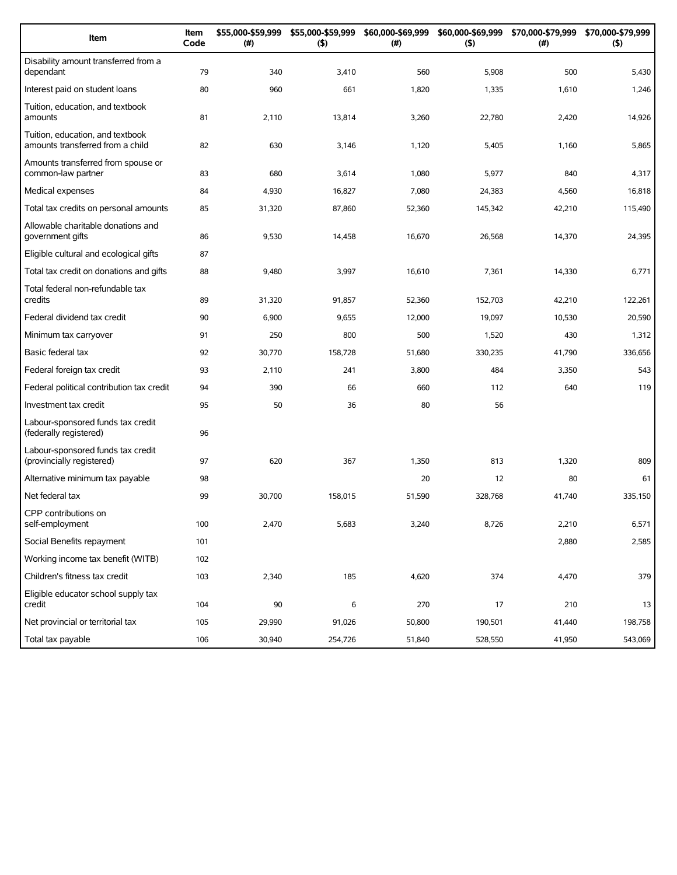| Item                                                                 | Item<br>Code | \$55,000-\$59,999<br>(#) | \$55,000-\$59,999<br>(5) | \$60,000-\$69,999<br>(#) | (5)     | \$60,000-\$69,999 \$70,000-\$79,999<br>$(\#)$ | \$70,000-\$79,999<br>(5) |
|----------------------------------------------------------------------|--------------|--------------------------|--------------------------|--------------------------|---------|-----------------------------------------------|--------------------------|
| Disability amount transferred from a<br>dependant                    | 79           | 340                      | 3,410                    | 560                      | 5,908   | 500                                           | 5,430                    |
| Interest paid on student loans                                       | 80           | 960                      | 661                      | 1,820                    | 1,335   | 1,610                                         | 1,246                    |
| Tuition, education, and textbook<br>amounts                          | 81           | 2,110                    | 13,814                   | 3,260                    | 22,780  | 2,420                                         | 14,926                   |
| Tuition, education, and textbook<br>amounts transferred from a child | 82           | 630                      | 3,146                    | 1,120                    | 5,405   | 1,160                                         | 5,865                    |
| Amounts transferred from spouse or<br>common-law partner             | 83           | 680                      | 3,614                    | 1,080                    | 5,977   | 840                                           | 4,317                    |
| Medical expenses                                                     | 84           | 4,930                    | 16,827                   | 7,080                    | 24,383  | 4,560                                         | 16,818                   |
| Total tax credits on personal amounts                                | 85           | 31,320                   | 87,860                   | 52,360                   | 145,342 | 42,210                                        | 115,490                  |
| Allowable charitable donations and<br>government gifts               | 86           | 9,530                    | 14,458                   | 16,670                   | 26,568  | 14,370                                        | 24,395                   |
| Eligible cultural and ecological gifts                               | 87           |                          |                          |                          |         |                                               |                          |
| Total tax credit on donations and gifts                              | 88           | 9,480                    | 3,997                    | 16,610                   | 7,361   | 14,330                                        | 6,771                    |
| Total federal non-refundable tax<br>credits                          | 89           | 31,320                   | 91,857                   | 52,360                   | 152,703 | 42,210                                        | 122,261                  |
| Federal dividend tax credit                                          | 90           | 6,900                    | 9,655                    | 12,000                   | 19,097  | 10,530                                        | 20,590                   |
| Minimum tax carryover                                                | 91           | 250                      | 800                      | 500                      | 1,520   | 430                                           | 1,312                    |
| Basic federal tax                                                    | 92           | 30,770                   | 158,728                  | 51,680                   | 330,235 | 41,790                                        | 336,656                  |
| Federal foreign tax credit                                           | 93           | 2,110                    | 241                      | 3,800                    | 484     | 3,350                                         | 543                      |
| Federal political contribution tax credit                            | 94           | 390                      | 66                       | 660                      | 112     | 640                                           | 119                      |
| Investment tax credit                                                | 95           | 50                       | 36                       | 80                       | 56      |                                               |                          |
| Labour-sponsored funds tax credit<br>(federally registered)          | 96           |                          |                          |                          |         |                                               |                          |
| Labour-sponsored funds tax credit<br>(provincially registered)       | 97           | 620                      | 367                      | 1,350                    | 813     | 1,320                                         | 809                      |
| Alternative minimum tax payable                                      | 98           |                          |                          | 20                       | 12      | 80                                            | 61                       |
| Net federal tax                                                      | 99           | 30,700                   | 158,015                  | 51,590                   | 328,768 | 41,740                                        | 335,150                  |
| CPP contributions on<br>self-employment                              | 100          | 2,470                    | 5,683                    | 3,240                    | 8,726   | 2,210                                         | 6,571                    |
| Social Benefits repayment                                            | 101          |                          |                          |                          |         | 2,880                                         | 2,585                    |
| Working income tax benefit (WITB)                                    | 102          |                          |                          |                          |         |                                               |                          |
| Children's fitness tax credit                                        | 103          | 2,340                    | 185                      | 4,620                    | 374     | 4,470                                         | 379                      |
| Eligible educator school supply tax<br>credit                        | 104          | 90                       | 6                        | 270                      | 17      | 210                                           | 13                       |
| Net provincial or territorial tax                                    | 105          | 29,990                   | 91,026                   | 50,800                   | 190,501 | 41,440                                        | 198,758                  |
| Total tax payable                                                    | 106          | 30,940                   | 254,726                  | 51,840                   | 528,550 | 41,950                                        | 543,069                  |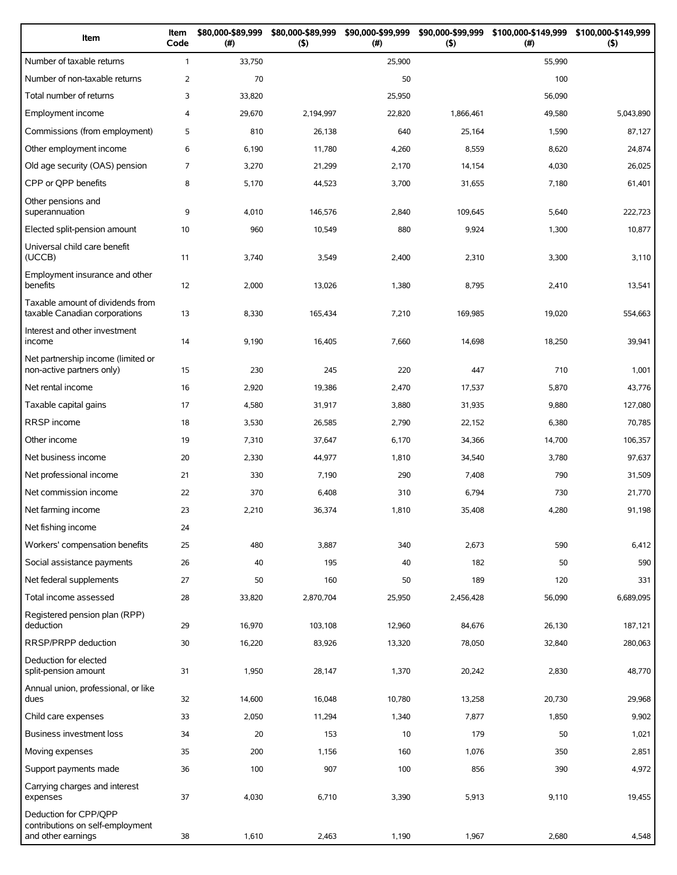| Item                                                                            | Item<br>Code   | \$80,000-\$89,999<br>$(\#)$ | \$80,000-\$89,999<br>$($ \$) | \$90,000-\$99,999<br>(#) | \$90,000-\$99,999<br>$($ \$) | \$100,000-\$149,999<br>(#) | \$100,000-\$149,999<br>$($ \$) |
|---------------------------------------------------------------------------------|----------------|-----------------------------|------------------------------|--------------------------|------------------------------|----------------------------|--------------------------------|
| Number of taxable returns                                                       | $\mathbf{1}$   | 33,750                      |                              | 25,900                   |                              | 55,990                     |                                |
| Number of non-taxable returns                                                   | $\overline{2}$ | 70                          |                              | 50                       |                              | 100                        |                                |
| Total number of returns                                                         | 3              | 33,820                      |                              | 25,950                   |                              | 56,090                     |                                |
| Employment income                                                               | $\overline{4}$ | 29,670                      | 2,194,997                    | 22,820                   | 1,866,461                    | 49,580                     | 5,043,890                      |
| Commissions (from employment)                                                   | 5              | 810                         | 26,138                       | 640                      | 25,164                       | 1,590                      | 87,127                         |
| Other employment income                                                         | 6              | 6,190                       | 11,780                       | 4,260                    | 8,559                        | 8,620                      | 24,874                         |
| Old age security (OAS) pension                                                  | 7              | 3,270                       | 21,299                       | 2,170                    | 14,154                       | 4,030                      | 26,025                         |
| CPP or QPP benefits                                                             | 8              | 5,170                       | 44,523                       | 3,700                    | 31,655                       | 7,180                      | 61,401                         |
| Other pensions and<br>superannuation                                            | 9              | 4,010                       | 146,576                      | 2,840                    | 109,645                      | 5,640                      | 222,723                        |
| Elected split-pension amount                                                    | 10             | 960                         | 10,549                       | 880                      | 9,924                        | 1,300                      | 10,877                         |
| Universal child care benefit<br>(UCCB)                                          | 11             | 3,740                       | 3,549                        | 2,400                    | 2,310                        | 3,300                      | 3,110                          |
| Employment insurance and other<br>benefits                                      | 12             | 2,000                       | 13,026                       | 1,380                    | 8,795                        | 2,410                      | 13,541                         |
| Taxable amount of dividends from<br>taxable Canadian corporations               | 13             | 8,330                       | 165,434                      | 7,210                    | 169,985                      | 19,020                     | 554,663                        |
| Interest and other investment<br>income                                         | 14             | 9,190                       | 16,405                       | 7,660                    | 14,698                       | 18,250                     | 39,941                         |
| Net partnership income (limited or<br>non-active partners only)                 | 15             | 230                         | 245                          | 220                      | 447                          | 710                        | 1,001                          |
| Net rental income                                                               | 16             | 2,920                       | 19,386                       | 2,470                    | 17,537                       | 5,870                      | 43,776                         |
| Taxable capital gains                                                           | 17             | 4,580                       | 31,917                       | 3,880                    | 31,935                       | 9,880                      | 127,080                        |
| RRSP income                                                                     | 18             | 3,530                       | 26,585                       | 2,790                    | 22,152                       | 6,380                      | 70,785                         |
| Other income                                                                    | 19             | 7,310                       | 37,647                       | 6,170                    | 34,366                       | 14,700                     | 106,357                        |
| Net business income                                                             | 20             | 2,330                       | 44,977                       | 1,810                    | 34,540                       | 3,780                      | 97,637                         |
| Net professional income                                                         | 21             | 330                         | 7,190                        | 290                      | 7,408                        | 790                        | 31,509                         |
| Net commission income                                                           | 22             | 370                         | 6,408                        | 310                      | 6,794                        | 730                        | 21,770                         |
| Net farming income                                                              | 23             | 2,210                       | 36,374                       | 1,810                    | 35,408                       | 4,280                      | 91,198                         |
| Net fishing income                                                              | 24             |                             |                              |                          |                              |                            |                                |
| Workers' compensation benefits                                                  | 25             | 480                         | 3,887                        | 340                      | 2,673                        | 590                        | 6,412                          |
| Social assistance payments                                                      | 26             | 40                          | 195                          | 40                       | 182                          | 50                         | 590                            |
| Net federal supplements                                                         | 27             | 50                          | 160                          | 50                       | 189                          | 120                        | 331                            |
| Total income assessed                                                           | 28             | 33,820                      | 2,870,704                    | 25,950                   | 2,456,428                    | 56,090                     | 6,689,095                      |
| Registered pension plan (RPP)<br>deduction                                      | 29             | 16,970                      | 103,108                      | 12,960                   | 84,676                       | 26,130                     | 187,121                        |
| RRSP/PRPP deduction                                                             | 30             | 16,220                      | 83,926                       | 13,320                   | 78,050                       | 32,840                     | 280,063                        |
| Deduction for elected<br>split-pension amount                                   | 31             | 1,950                       | 28,147                       | 1,370                    | 20,242                       | 2,830                      | 48,770                         |
| Annual union, professional, or like<br>dues                                     | 32             | 14,600                      | 16,048                       | 10,780                   | 13,258                       | 20,730                     | 29,968                         |
| Child care expenses                                                             | 33             | 2,050                       | 11,294                       | 1,340                    | 7,877                        | 1,850                      | 9,902                          |
| <b>Business investment loss</b>                                                 | 34             | 20                          | 153                          | 10                       | 179                          | 50                         | 1,021                          |
| Moving expenses                                                                 | 35             | 200                         | 1,156                        | 160                      | 1,076                        | 350                        | 2,851                          |
| Support payments made                                                           | 36             | 100                         | 907                          | 100                      | 856                          | 390                        | 4,972                          |
| Carrying charges and interest<br>expenses                                       | 37             | 4,030                       | 6,710                        | 3,390                    | 5,913                        | 9,110                      | 19,455                         |
| Deduction for CPP/QPP<br>contributions on self-employment<br>and other earnings | 38             | 1,610                       | 2,463                        | 1,190                    | 1,967                        | 2,680                      | 4,548                          |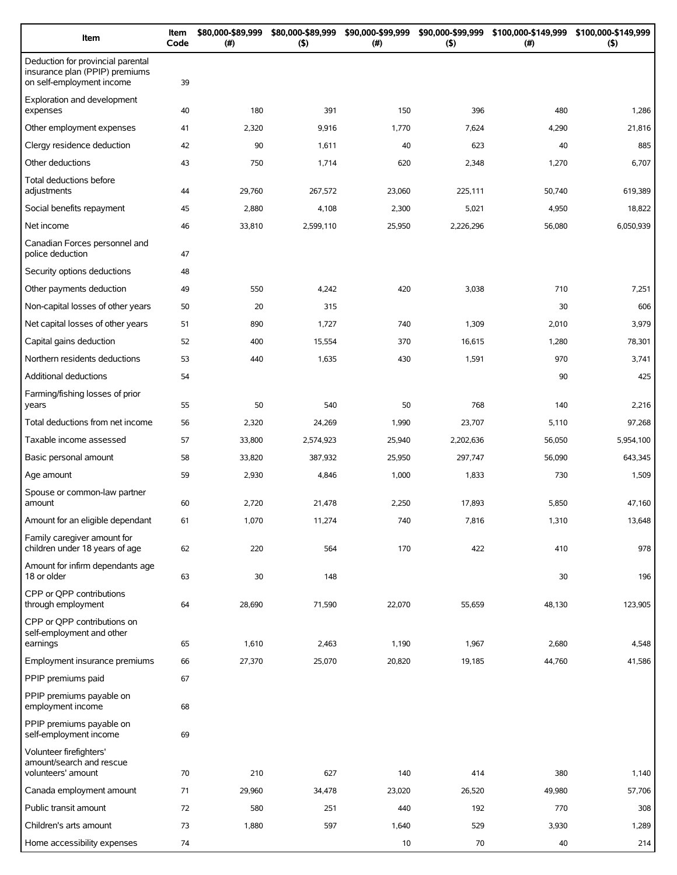| Item                                                                                             | Item<br>Code | \$80,000-\$89,999<br>(# ) | \$80,000-\$89,999<br>$($ \$) | \$90,000-\$99,999<br>(# ) | \$90,000-\$99,999<br>(5) | \$100,000-\$149,999<br>(#) | \$100,000-\$149,999<br>$($ \$) |
|--------------------------------------------------------------------------------------------------|--------------|---------------------------|------------------------------|---------------------------|--------------------------|----------------------------|--------------------------------|
| Deduction for provincial parental<br>insurance plan (PPIP) premiums<br>on self-employment income | 39           |                           |                              |                           |                          |                            |                                |
| Exploration and development<br>expenses                                                          | 40           | 180                       | 391                          | 150                       | 396                      | 480                        | 1,286                          |
| Other employment expenses                                                                        | 41           | 2,320                     | 9,916                        | 1,770                     | 7,624                    | 4,290                      | 21,816                         |
| Clergy residence deduction                                                                       | 42           | 90                        | 1,611                        | 40                        | 623                      | 40                         | 885                            |
| Other deductions                                                                                 | 43           | 750                       | 1,714                        | 620                       | 2,348                    | 1,270                      | 6,707                          |
| Total deductions before<br>adjustments                                                           | 44           | 29,760                    | 267,572                      | 23,060                    | 225,111                  | 50,740                     | 619,389                        |
| Social benefits repayment                                                                        | 45           | 2,880                     | 4,108                        | 2,300                     | 5,021                    | 4,950                      | 18,822                         |
| Net income                                                                                       | 46           | 33,810                    | 2,599,110                    | 25,950                    | 2,226,296                | 56,080                     | 6,050,939                      |
| Canadian Forces personnel and<br>police deduction                                                | 47           |                           |                              |                           |                          |                            |                                |
| Security options deductions                                                                      | 48           |                           |                              |                           |                          |                            |                                |
| Other payments deduction                                                                         | 49           | 550                       | 4,242                        | 420                       | 3,038                    | 710                        | 7,251                          |
| Non-capital losses of other years                                                                | 50           | 20                        | 315                          |                           |                          | 30                         | 606                            |
| Net capital losses of other years                                                                | 51           | 890                       | 1,727                        | 740                       | 1,309                    | 2,010                      | 3,979                          |
| Capital gains deduction                                                                          | 52           | 400                       | 15,554                       | 370                       | 16,615                   | 1,280                      | 78,301                         |
| Northern residents deductions                                                                    | 53           | 440                       | 1,635                        | 430                       | 1,591                    | 970                        | 3,741                          |
| Additional deductions                                                                            | 54           |                           |                              |                           |                          | 90                         | 425                            |
| Farming/fishing losses of prior<br>years                                                         | 55           | 50                        | 540                          | 50                        | 768                      | 140                        | 2,216                          |
| Total deductions from net income                                                                 | 56           | 2,320                     | 24,269                       | 1,990                     | 23,707                   | 5,110                      | 97,268                         |
| Taxable income assessed                                                                          | 57           | 33,800                    | 2,574,923                    | 25,940                    | 2,202,636                | 56,050                     | 5,954,100                      |
| Basic personal amount                                                                            | 58           | 33,820                    | 387,932                      | 25,950                    | 297,747                  | 56,090                     | 643,345                        |
| Age amount                                                                                       | 59           | 2,930                     | 4,846                        | 1,000                     | 1,833                    | 730                        | 1,509                          |
| Spouse or common-law partner<br>amount                                                           | 60           | 2,720                     | 21,478                       | 2,250                     | 17,893                   | 5,850                      | 47,160                         |
| Amount for an eligible dependant                                                                 | 61           | 1,070                     | 11,274                       | 740                       | 7,816                    | 1,310                      | 13,648                         |
| Family caregiver amount for<br>children under 18 years of age                                    | 62           | 220                       | 564                          | 170                       | 422                      | 410                        | 978                            |
| Amount for infirm dependants age<br>18 or older                                                  | 63           | 30                        | 148                          |                           |                          | 30                         | 196                            |
| CPP or OPP contributions<br>through employment                                                   | 64           | 28,690                    | 71,590                       | 22,070                    | 55,659                   | 48,130                     | 123,905                        |
| CPP or QPP contributions on<br>self-employment and other<br>earnings                             | 65           | 1,610                     | 2,463                        | 1,190                     | 1,967                    | 2,680                      | 4,548                          |
| Employment insurance premiums                                                                    | 66           | 27,370                    | 25,070                       | 20,820                    | 19,185                   | 44,760                     | 41,586                         |
| PPIP premiums paid                                                                               | 67           |                           |                              |                           |                          |                            |                                |
| PPIP premiums payable on<br>employment income                                                    | 68           |                           |                              |                           |                          |                            |                                |
| PPIP premiums payable on<br>self-employment income                                               | 69           |                           |                              |                           |                          |                            |                                |
| Volunteer firefighters'<br>amount/search and rescue<br>volunteers' amount                        | 70           | 210                       | 627                          | 140                       | 414                      | 380                        | 1,140                          |
| Canada employment amount                                                                         | 71           | 29,960                    | 34,478                       | 23,020                    | 26,520                   | 49,980                     | 57,706                         |
| Public transit amount                                                                            | 72           | 580                       | 251                          | 440                       | 192                      | 770                        | 308                            |
| Children's arts amount                                                                           | 73           | 1,880                     | 597                          | 1,640                     | 529                      | 3,930                      | 1,289                          |
| Home accessibility expenses                                                                      | 74           |                           |                              | 10                        | 70                       | 40                         | 214                            |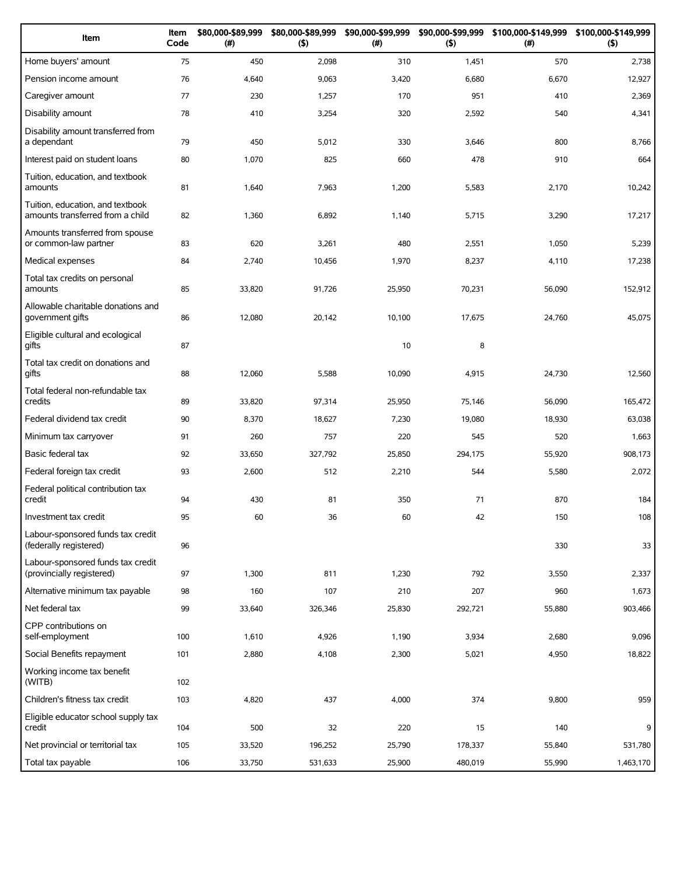| Item                                                                 | Item<br>Code | \$80,000-\$89,999<br>(#) | \$80,000-\$89,999<br>(5) | \$90,000-\$99,999<br>(# ) | \$90,000-\$99,999<br>(5) | (# )   | \$100,000-\$149,999 \$100,000-\$149,999<br>(5) |
|----------------------------------------------------------------------|--------------|--------------------------|--------------------------|---------------------------|--------------------------|--------|------------------------------------------------|
| Home buyers' amount                                                  | 75           | 450                      | 2,098                    | 310                       | 1,451                    | 570    | 2,738                                          |
| Pension income amount                                                | 76           | 4,640                    | 9,063                    | 3,420                     | 6,680                    | 6,670  | 12,927                                         |
| Caregiver amount                                                     | 77           | 230                      | 1,257                    | 170                       | 951                      | 410    | 2,369                                          |
| Disability amount                                                    | 78           | 410                      | 3,254                    | 320                       | 2,592                    | 540    | 4,341                                          |
| Disability amount transferred from<br>a dependant                    | 79           | 450                      | 5,012                    | 330                       | 3,646                    | 800    | 8,766                                          |
| Interest paid on student loans                                       | 80           | 1,070                    | 825                      | 660                       | 478                      | 910    | 664                                            |
| Tuition, education, and textbook<br>amounts                          | 81           | 1,640                    | 7,963                    | 1,200                     | 5,583                    | 2,170  | 10,242                                         |
| Tuition, education, and textbook<br>amounts transferred from a child | 82           | 1,360                    | 6,892                    | 1,140                     | 5,715                    | 3,290  | 17,217                                         |
| Amounts transferred from spouse<br>or common-law partner             | 83           | 620                      | 3,261                    | 480                       | 2,551                    | 1,050  | 5,239                                          |
| Medical expenses                                                     | 84           | 2,740                    | 10,456                   | 1,970                     | 8,237                    | 4,110  | 17,238                                         |
| Total tax credits on personal<br>amounts                             | 85           | 33,820                   | 91,726                   | 25,950                    | 70,231                   | 56,090 | 152,912                                        |
| Allowable charitable donations and<br>government gifts               | 86           | 12,080                   | 20,142                   | 10,100                    | 17,675                   | 24,760 | 45,075                                         |
| Eligible cultural and ecological<br>gifts                            | 87           |                          |                          | 10                        | 8                        |        |                                                |
| Total tax credit on donations and<br>gifts                           | 88           | 12,060                   | 5,588                    | 10,090                    | 4,915                    | 24,730 | 12,560                                         |
| Total federal non-refundable tax<br>credits                          | 89           | 33,820                   | 97,314                   | 25,950                    | 75,146                   | 56,090 | 165,472                                        |
| Federal dividend tax credit                                          | 90           | 8,370                    | 18,627                   | 7,230                     | 19,080                   | 18,930 | 63,038                                         |
| Minimum tax carryover                                                | 91           | 260                      | 757                      | 220                       | 545                      | 520    | 1,663                                          |
| Basic federal tax                                                    | 92           | 33,650                   | 327,792                  | 25,850                    | 294,175                  | 55,920 | 908,173                                        |
| Federal foreign tax credit                                           | 93           | 2,600                    | 512                      | 2,210                     | 544                      | 5,580  | 2,072                                          |
| Federal political contribution tax<br>credit                         | 94           | 430                      | 81                       | 350                       | 71                       | 870    | 184                                            |
| Investment tax credit                                                | 95           | 60                       | 36                       | 60                        | 42                       | 150    | 108                                            |
| Labour-sponsored funds tax credit<br>(federally registered)          | 96           |                          |                          |                           |                          | 330    | 33                                             |
| Labour-sponsored funds tax credit<br>(provincially registered)       | 97           | 1,300                    | 811                      | 1,230                     | 792                      | 3,550  | 2,337                                          |
| Alternative minimum tax payable                                      | 98           | 160                      | 107                      | 210                       | 207                      | 960    | 1,673                                          |
| Net federal tax                                                      | 99           | 33,640                   | 326,346                  | 25,830                    | 292,721                  | 55,880 | 903,466                                        |
| CPP contributions on<br>self-employment                              | 100          | 1,610                    | 4,926                    | 1,190                     | 3,934                    | 2,680  | 9,096                                          |
| Social Benefits repayment                                            | 101          | 2,880                    | 4,108                    | 2,300                     | 5,021                    | 4,950  | 18,822                                         |
| Working income tax benefit<br>(WITB)                                 | 102          |                          |                          |                           |                          |        |                                                |
| Children's fitness tax credit                                        | 103          | 4,820                    | 437                      | 4,000                     | 374                      | 9,800  | 959                                            |
| Eligible educator school supply tax<br>credit                        | 104          | 500                      | 32                       | 220                       | 15                       | 140    | 9                                              |
| Net provincial or territorial tax                                    | 105          | 33,520                   | 196,252                  | 25,790                    | 178,337                  | 55,840 | 531,780                                        |
| Total tax payable                                                    | 106          | 33,750                   | 531,633                  | 25,900                    | 480,019                  | 55,990 | 1,463,170                                      |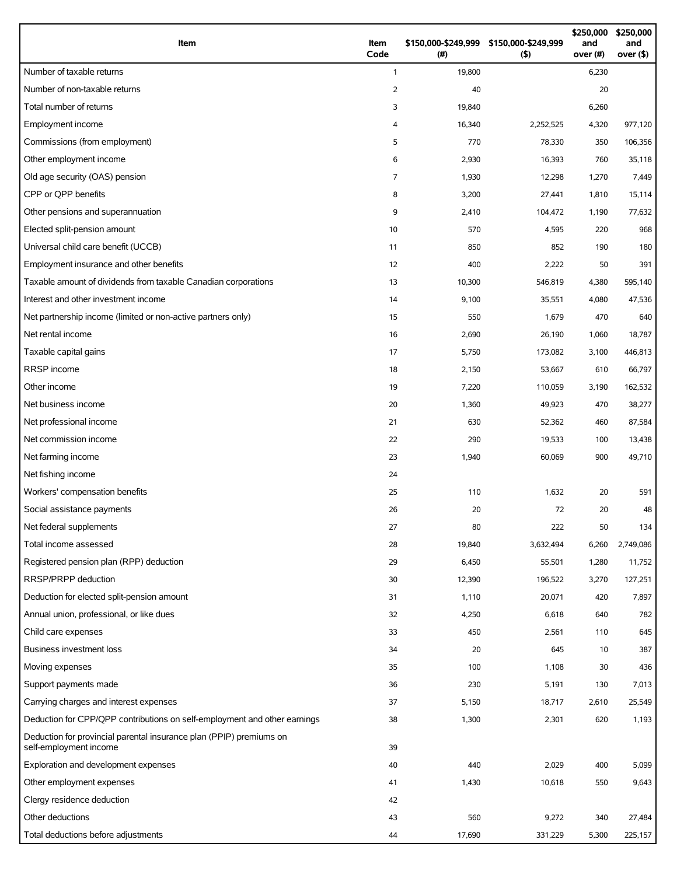| Item                                                                                          | Item<br>Code   | (# )   | \$150,000-\$249,999 \$150,000-\$249,999<br>$($ \$) | \$250,000<br>and<br>over (#) | \$250,000<br>and<br>over $($ \$) |
|-----------------------------------------------------------------------------------------------|----------------|--------|----------------------------------------------------|------------------------------|----------------------------------|
| Number of taxable returns                                                                     | $\mathbf{1}$   | 19,800 |                                                    | 6,230                        |                                  |
| Number of non-taxable returns                                                                 | $\overline{2}$ | 40     |                                                    | 20                           |                                  |
| Total number of returns                                                                       | 3              | 19,840 |                                                    | 6,260                        |                                  |
| Employment income                                                                             | 4              | 16,340 | 2,252,525                                          | 4,320                        | 977,120                          |
| Commissions (from employment)                                                                 | 5              | 770    | 78,330                                             | 350                          | 106,356                          |
| Other employment income                                                                       | 6              | 2,930  | 16,393                                             | 760                          | 35,118                           |
| Old age security (OAS) pension                                                                | $\overline{7}$ | 1,930  | 12,298                                             | 1,270                        | 7,449                            |
| CPP or OPP benefits                                                                           | 8              | 3,200  | 27,441                                             | 1,810                        | 15,114                           |
| Other pensions and superannuation                                                             | 9              | 2,410  | 104,472                                            | 1,190                        | 77,632                           |
| Elected split-pension amount                                                                  | 10             | 570    | 4,595                                              | 220                          | 968                              |
| Universal child care benefit (UCCB)                                                           | 11             | 850    | 852                                                | 190                          | 180                              |
| Employment insurance and other benefits                                                       | 12             | 400    | 2,222                                              | 50                           | 391                              |
| Taxable amount of dividends from taxable Canadian corporations                                | 13             | 10,300 | 546,819                                            | 4,380                        | 595,140                          |
| Interest and other investment income                                                          | 14             | 9,100  | 35,551                                             | 4,080                        | 47,536                           |
| Net partnership income (limited or non-active partners only)                                  | 15             | 550    | 1,679                                              | 470                          | 640                              |
| Net rental income                                                                             | 16             | 2,690  | 26,190                                             | 1,060                        | 18,787                           |
| Taxable capital gains                                                                         | 17             | 5,750  | 173,082                                            | 3,100                        | 446,813                          |
| RRSP income                                                                                   | 18             | 2,150  | 53,667                                             | 610                          | 66,797                           |
| Other income                                                                                  | 19             | 7,220  | 110,059                                            | 3,190                        | 162,532                          |
| Net business income                                                                           | 20             | 1,360  | 49,923                                             | 470                          | 38,277                           |
| Net professional income                                                                       | 21             | 630    | 52,362                                             | 460                          | 87,584                           |
| Net commission income                                                                         | 22             | 290    | 19,533                                             | 100                          | 13,438                           |
| Net farming income                                                                            | 23             | 1,940  | 60,069                                             | 900                          | 49,710                           |
| Net fishing income                                                                            | 24             |        |                                                    |                              |                                  |
| Workers' compensation benefits                                                                | 25             | 110    | 1,632                                              | 20                           | 591                              |
| Social assistance payments                                                                    | 26             | 20     | 72                                                 | 20                           | 48                               |
| Net federal supplements                                                                       | 27             | 80     | 222                                                | 50                           | 134                              |
| Total income assessed                                                                         | 28             | 19,840 | 3,632,494                                          | 6,260                        | 2,749,086                        |
| Registered pension plan (RPP) deduction                                                       | 29             | 6,450  | 55,501                                             | 1,280                        | 11,752                           |
| RRSP/PRPP deduction                                                                           | 30             | 12,390 | 196,522                                            | 3,270                        | 127,251                          |
| Deduction for elected split-pension amount                                                    | 31             | 1,110  | 20,071                                             | 420                          | 7,897                            |
| Annual union, professional, or like dues                                                      | 32             | 4,250  | 6,618                                              | 640                          | 782                              |
| Child care expenses                                                                           | 33             | 450    | 2,561                                              | 110                          | 645                              |
| Business investment loss                                                                      | 34             | 20     | 645                                                | 10                           | 387                              |
| Moving expenses                                                                               | 35             | 100    | 1,108                                              | 30                           | 436                              |
| Support payments made                                                                         | 36             | 230    | 5,191                                              | 130                          | 7,013                            |
| Carrying charges and interest expenses                                                        | 37             | 5,150  | 18,717                                             | 2,610                        | 25,549                           |
| Deduction for CPP/QPP contributions on self-employment and other earnings                     | 38             | 1,300  | 2,301                                              | 620                          | 1,193                            |
| Deduction for provincial parental insurance plan (PPIP) premiums on<br>self-employment income | 39             |        |                                                    |                              |                                  |
| Exploration and development expenses                                                          | 40             | 440    | 2,029                                              | 400                          | 5,099                            |
| Other employment expenses                                                                     | 41             | 1,430  | 10,618                                             | 550                          | 9,643                            |
| Clergy residence deduction                                                                    | 42             |        |                                                    |                              |                                  |
| Other deductions                                                                              | 43             | 560    | 9,272                                              | 340                          | 27,484                           |
| Total deductions before adjustments                                                           | 44             | 17,690 | 331,229                                            | 5,300                        | 225,157                          |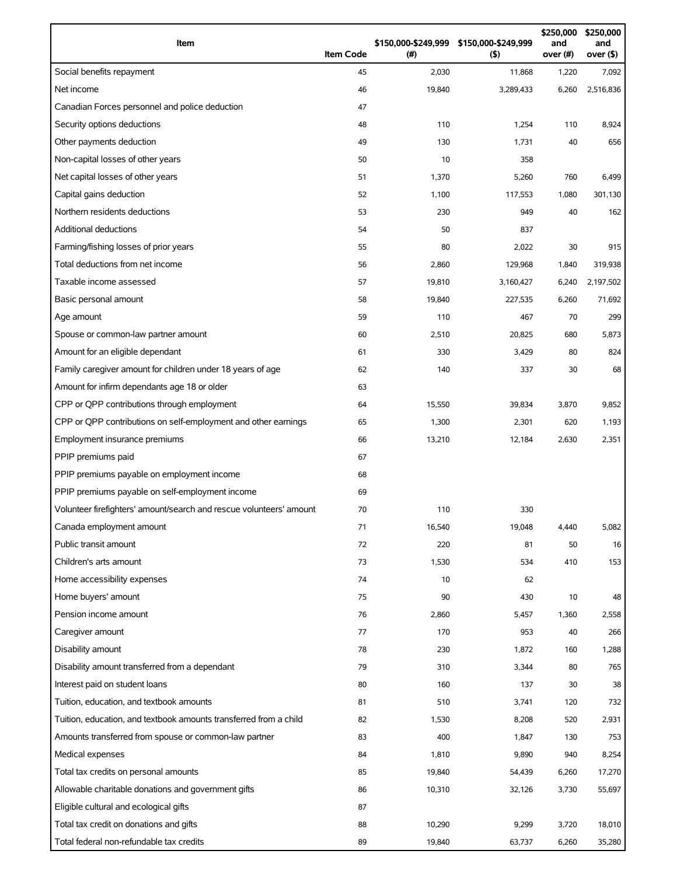| Item                                                                | <b>Item Code</b> | (#)    | \$150,000-\$249,999 \$150,000-\$249,999<br>(5) | \$250,000<br>and<br>over (#) | \$250,000<br>and<br>over (\$) |
|---------------------------------------------------------------------|------------------|--------|------------------------------------------------|------------------------------|-------------------------------|
| Social benefits repayment                                           | 45               | 2,030  | 11,868                                         | 1,220                        | 7,092                         |
| Net income                                                          | 46               | 19,840 | 3,289,433                                      | 6,260                        | 2,516,836                     |
| Canadian Forces personnel and police deduction                      | 47               |        |                                                |                              |                               |
| Security options deductions                                         | 48               | 110    | 1,254                                          | 110                          | 8,924                         |
| Other payments deduction                                            | 49               | 130    | 1,731                                          | 40                           | 656                           |
| Non-capital losses of other years                                   | 50               | 10     | 358                                            |                              |                               |
| Net capital losses of other years                                   | 51               | 1,370  | 5,260                                          | 760                          | 6,499                         |
| Capital gains deduction                                             | 52               | 1,100  | 117,553                                        | 1,080                        | 301,130                       |
| Northern residents deductions                                       | 53               | 230    | 949                                            | 40                           | 162                           |
| Additional deductions                                               | 54               | 50     | 837                                            |                              |                               |
| Farming/fishing losses of prior years                               | 55               | 80     | 2,022                                          | 30                           | 915                           |
| Total deductions from net income                                    | 56               | 2,860  | 129,968                                        | 1,840                        | 319,938                       |
| Taxable income assessed                                             | 57               | 19,810 | 3,160,427                                      | 6,240                        | 2,197,502                     |
| Basic personal amount                                               | 58               | 19,840 | 227,535                                        | 6,260                        | 71,692                        |
| Age amount                                                          | 59               | 110    | 467                                            | 70                           | 299                           |
| Spouse or common-law partner amount                                 | 60               | 2,510  | 20,825                                         | 680                          | 5,873                         |
| Amount for an eligible dependant                                    | 61               | 330    | 3,429                                          | 80                           | 824                           |
| Family caregiver amount for children under 18 years of age          | 62               | 140    | 337                                            | 30                           | 68                            |
| Amount for infirm dependants age 18 or older                        | 63               |        |                                                |                              |                               |
| CPP or QPP contributions through employment                         | 64               | 15,550 | 39,834                                         | 3,870                        | 9,852                         |
| CPP or QPP contributions on self-employment and other earnings      | 65               | 1,300  | 2,301                                          | 620                          | 1,193                         |
| Employment insurance premiums                                       | 66               | 13,210 | 12,184                                         | 2,630                        | 2,351                         |
| PPIP premiums paid                                                  | 67               |        |                                                |                              |                               |
| PPIP premiums payable on employment income                          | 68               |        |                                                |                              |                               |
| PPIP premiums payable on self-employment income                     | 69               |        |                                                |                              |                               |
| Volunteer firefighters' amount/search and rescue volunteers' amount | 70               | 110    | 330                                            |                              |                               |
| Canada employment amount                                            | 71               | 16,540 | 19,048                                         | 4,440                        | 5,082                         |
| Public transit amount                                               | 72               | 220    | 81                                             | 50                           | 16                            |
| Children's arts amount                                              | 73               | 1,530  | 534                                            | 410                          | 153                           |
| Home accessibility expenses                                         | 74               | 10     | 62                                             |                              |                               |
| Home buyers' amount                                                 | 75               | 90     | 430                                            | 10                           | 48                            |
| Pension income amount                                               | 76               | 2,860  | 5,457                                          | 1,360                        | 2,558                         |
| Caregiver amount                                                    | 77               | 170    | 953                                            | 40                           | 266                           |
| Disability amount                                                   | 78               | 230    | 1,872                                          | 160                          | 1,288                         |
| Disability amount transferred from a dependant                      | 79               | 310    | 3,344                                          | 80                           | 765                           |
| Interest paid on student loans                                      | 80               | 160    | 137                                            | 30                           | 38                            |
| Tuition, education, and textbook amounts                            | 81               | 510    | 3,741                                          | 120                          | 732                           |
| Tuition, education, and textbook amounts transferred from a child   | 82               | 1,530  | 8,208                                          | 520                          | 2,931                         |
| Amounts transferred from spouse or common-law partner               | 83               | 400    | 1,847                                          | 130                          | 753                           |
| Medical expenses                                                    | 84               | 1,810  | 9,890                                          | 940                          | 8,254                         |
| Total tax credits on personal amounts                               | 85               | 19,840 | 54,439                                         | 6,260                        | 17,270                        |
| Allowable charitable donations and government gifts                 | 86               | 10,310 | 32,126                                         | 3,730                        | 55,697                        |
| Eligible cultural and ecological gifts                              | 87               |        |                                                |                              |                               |
| Total tax credit on donations and gifts                             | 88               | 10,290 | 9,299                                          | 3,720                        | 18,010                        |
| Total federal non-refundable tax credits                            | 89               | 19,840 | 63,737                                         | 6,260                        | 35,280                        |